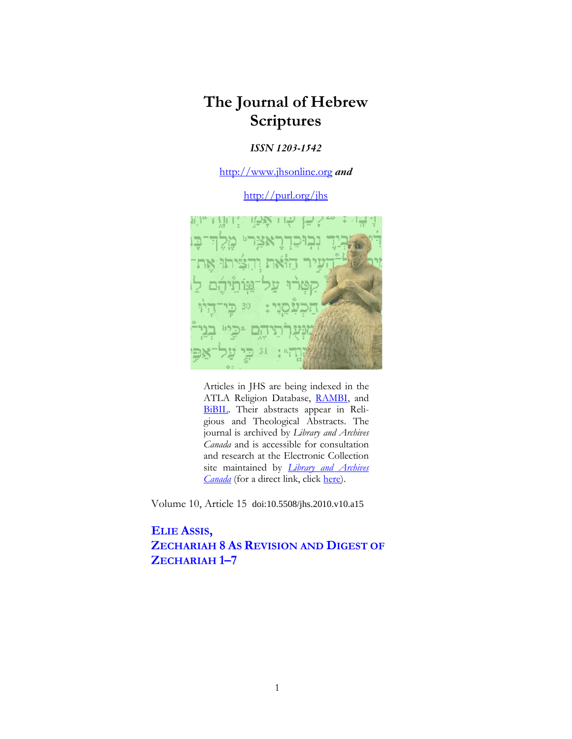# **The Journal of Hebrew Scriptures**

# *ISSN 1203-1542*

http://www.jhsonline.org *and*

http://purl.org/jhs



Articles in JHS are being indexed in the ATLA Religion Database, RAMBI, and BiBIL. Their abstracts appear in Religious and Theological Abstracts. The journal is archived by *Library and Archives Canada* and is accessible for consultation and research at the Electronic Collection site maintained by *Library and Archives Canada* (for a direct link, click here).

Volume 10, Article 15 doi:10.5508/jhs.2010.v10.a15

# **ELIE ASSIS, ZECHARIAH 8 AS REVISION AND DIGEST OF ZECHARIAH 1–7**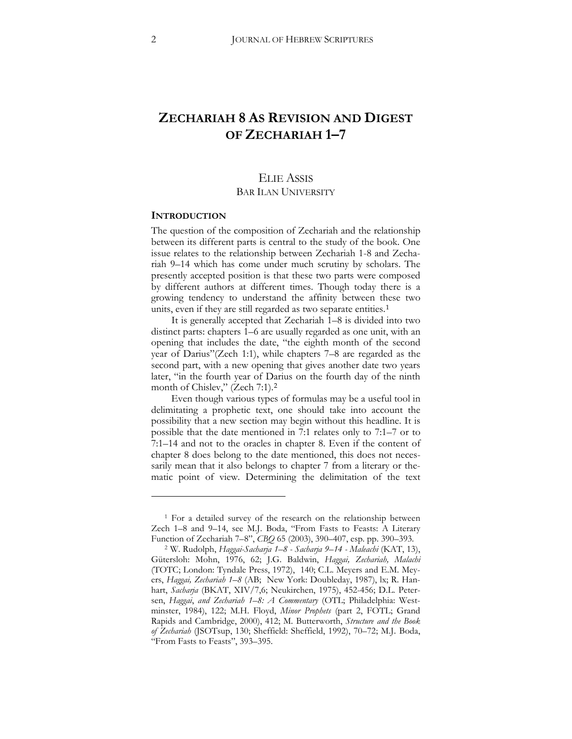# **ZECHARIAH 8 AS REVISION AND DIGEST OF ZECHARIAH 1–7**

# ELIE ASSIS BAR ILAN UNIVERSITY

#### **INTRODUCTION**

 $\ddot{\phantom{a}}$ 

The question of the composition of Zechariah and the relationship between its different parts is central to the study of the book. One issue relates to the relationship between Zechariah 1-8 and Zechariah 9–14 which has come under much scrutiny by scholars. The presently accepted position is that these two parts were composed by different authors at different times. Though today there is a growing tendency to understand the affinity between these two units, even if they are still regarded as two separate entities.<sup>[1](#page-1-0)</sup>

It is generally accepted that Zechariah 1–8 is divided into two distinct parts: chapters 1–6 are usually regarded as one unit, with an opening that includes the date, "the eighth month of the second year of Darius"(Zech 1:1), while chapters 7–8 are regarded as the second part, with a new opening that gives another date two years later, "in the fourth year of Darius on the fourth day of the ninth month of Chislev," (Zech 7:1).<sup>[2](#page-1-1)</sup>

Even though various types of formulas may be a useful tool in delimitating a prophetic text, one should take into account the possibility that a new section may begin without this headline. It is possible that the date mentioned in 7:1 relates only to 7:1–7 or to 7:1–14 and not to the oracles in chapter 8. Even if the content of chapter 8 does belong to the date mentioned, this does not necessarily mean that it also belongs to chapter 7 from a literary or thematic point of view. Determining the delimitation of the text

<span id="page-1-0"></span><sup>1</sup> For a detailed survey of the research on the relationship between Zech 1–8 and 9–14, see M.J. Boda, "From Fasts to Feasts: A Literary Function of Zechariah 7–8", *CBQ* 65 (2003), 390–407, esp. pp. 390–393.

<span id="page-1-1"></span><sup>2</sup> W. Rudolph, *Haggai-Sacharja 1–8 - Sacharja 9–14 - Maleachi* (KAT, 13), Gütersloh: Mohn, 1976, 62; J.G. Baldwin, *Haggai, Zechariah, Malachi* (TOTC; London: Tyndale Press, 1972), 140; C.L. Meyers and E.M. Meyers, *Haggai, Zechariah 1–8* (AB; New York: Doubleday, 1987), lx; R. Hanhart, Sacharja (BKAT, XIV/7,6; Neukirchen, 1975), 452-456; D.L. Petersen, *Haggai, and Zechariah 1–8: A Commentary* (OTL; Philadelphia: Westminster, 1984), 122; M.H. Floyd, *Minor Prophets* (part 2, FOTL; Grand Rapids and Cambridge, 2000), 412; M. Butterworth, *Structure and the Book* of Zechariah (JSOTsup, 130; Sheffield: Sheffield, 1992), 70-72; M.J. Boda, "From Fasts to Feasts", 393–395.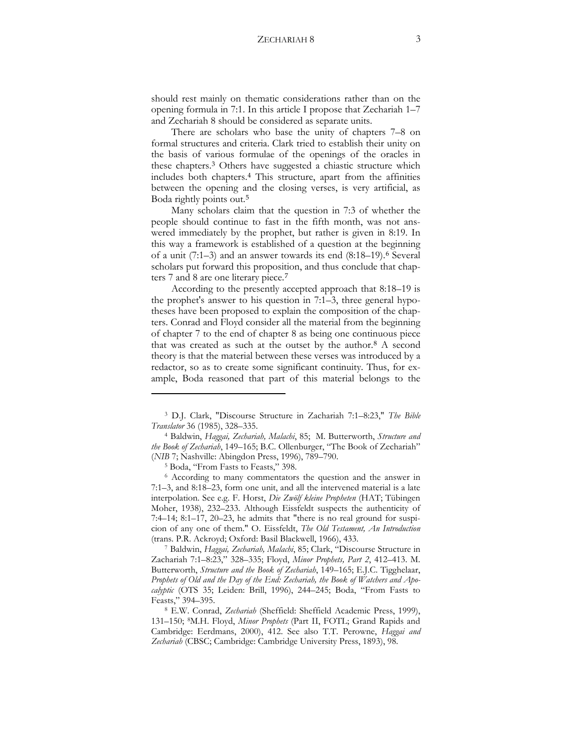should rest mainly on thematic considerations rather than on the opening formula in 7:1. In this article I propose that Zechariah 1–7 and Zechariah 8 should be considered as separate units.

There are scholars who base the unity of chapters 7–8 on formal structures and criteria. Clark tried to establish their unity on the basis of various formulae of the openings of the oracles in these chapters.[3](#page-2-0) Others have suggested a chiastic structure which includes both chapters.[4](#page-2-1) This structure, apart from the affinities between the opening and the closing verses, is very artificial, as Boda rightly points out.[5](#page-2-2)

Many scholars claim that the question in 7:3 of whether the people should continue to fast in the fifth month, was not answered immediately by the prophet, but rather is given in 8:19. In this way a framework is established of a question at the beginning of a unit (7:1–3) and an answer towards its end (8:18–19).[6](#page-2-3) Several scholars put forward this proposition, and thus conclude that chapters 7 and 8 are one literary piece.[7](#page-2-4)

According to the presently accepted approach that 8:18–19 is the prophet's answer to his question in 7:1–3, three general hypotheses have been proposed to explain the composition of the chapters. Conrad and Floyd consider all the material from the beginning of chapter 7 to the end of chapter 8 as being one continuous piece that was created as such at the outset by the author.[8](#page-2-5) A second theory is that the material between these verses was introduced by a redactor, so as to create some significant continuity. Thus, for example, Boda reasoned that part of this material belongs to the

 $\overline{a}$ 

<span id="page-2-4"></span>Zachariah 7:1-8:23," 328-335; Floyd, *Minor Prophets, Part 2*, 412-413. M. Butterworth, *Structure and the Book of Zechariah*, 149-165; E.J.C. Tigghelaar, *Prophets of Old and the Day of the End: Zechariah, the Book of Watchers and Apo*calyptic (OTS 35; Leiden: Brill, 1996), 244-245; Boda, "From Fasts to Feasts," 394–395.

<span id="page-2-0"></span><sup>3</sup> D.J. Clark, "Discourse Structure in Zachariah 7:1–8:23," *The Bible Translator* 36 (1985), 328–335.

<span id="page-2-1"></span><sup>&</sup>lt;sup>4</sup> Baldwin, *Haggai, Zechariah, Malachi*, 85; M. Butterworth, *Structure and* the Book of Zechariah, 149-165; B.C. Ollenburger, "The Book of Zechariah" (NIB 7; Nashville: Abingdon Press, 1996), 789-790.

<sup>5</sup> Boda, "From Fasts to Feasts," 398.

<span id="page-2-3"></span><span id="page-2-2"></span><sup>6</sup> According to many commentators the question and the answer in 7:1–3, and 8:18–23, form one unit, and all the intervened material is a late interpolation. See e.g. F. Horst, *Die Zwölf kleine Propheten* (HAT; Tübingen Moher, 1938), 232–233. Although Eissfeldt suspects the authenticity of 7:4–14; 8:1–17, 20–23, he admits that "there is no real ground for suspicion of any one of them." O. Eissfeldt, *The Old Testament, An Introduction* (trans. P.R. Ackroyd; Oxford: Basil Blackwell, 1966), 433.<br><sup>7</sup> Baldwin, *Haggai, Zechariah, Malachi*, 85; Clark, "Discourse Structure in

<span id="page-2-5"></span><sup>8</sup> E.W. Conrad, *Zechariah* (Sheffield: Sheffield Academic Press, 1999), 131–150; <sup>8</sup>M.H. Floyd, *Minor Prophets* (Part II, FOTL; Grand Rapids and Cambridge: Eerdmans, 2000), 412. See also T.T. Perowne, *Haggai and*  Zechariah (CBSC; Cambridge: Cambridge University Press, 1893), 98.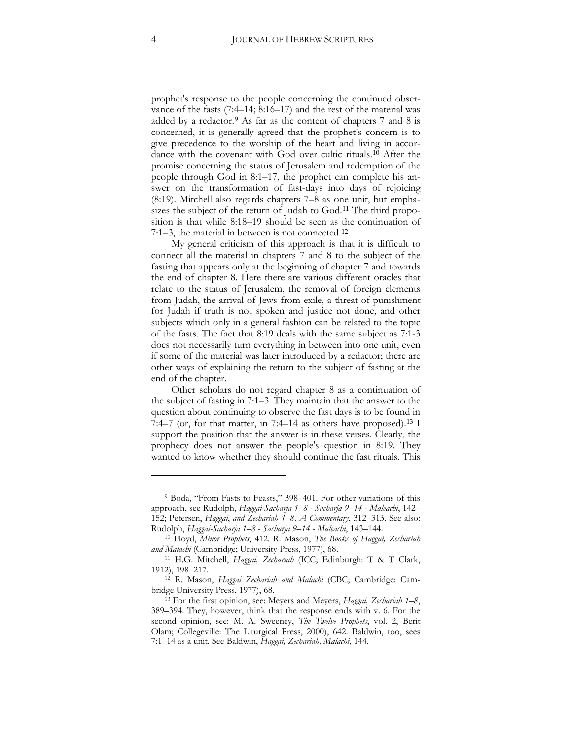prophet's response to the people concerning the continued observance of the fasts  $(7:4–14; 8:16–17)$  and the rest of the material was added by a redactor.[9](#page-3-0) As far as the content of chapters 7 and 8 is concerned, it is generally agreed that the prophet's concern is to give precedence to the worship of the heart and living in accordance with the covenant with God over cultic rituals.[10](#page-3-1) After the promise concerning the status of Jerusalem and redemption of the people through God in 8:1–17, the prophet can complete his answer on the transformation of fast-days into days of rejoicing (8:19). Mitchell also regards chapters 7–8 as one unit, but emphasizes the subject of the return of Judah to God.[11](#page-3-2) The third proposition is that while 8:18–19 should be seen as the continuation of 7:1–3, the material in between is not connected.[12](#page-3-3)

My general criticism of this approach is that it is difficult to connect all the material in chapters 7 and 8 to the subject of the fasting that appears only at the beginning of chapter 7 and towards the end of chapter 8. Here there are various different oracles that relate to the status of Jerusalem, the removal of foreign elements from Judah, the arrival of Jews from exile, a threat of punishment for Judah if truth is not spoken and justice not done, and other subjects which only in a general fashion can be related to the topic of the fasts. The fact that 8:19 deals with the same subject as 7:1-3 does not necessarily turn everything in between into one unit, even if some of the material was later introduced by a redactor; there are other ways of explaining the return to the subject of fasting at the end of the chapter.

Other scholars do not regard chapter 8 as a continuation of the subject of fasting in 7:1–3. They maintain that the answer to the question about continuing to observe the fast days is to be found in 7:4–7 (or, for that matter, in 7:4–14 as others have proposed).[13](#page-3-4) I support the position that the answer is in these verses. Clearly, the prophecy does not answer the people's question in 8:19. They wanted to know whether they should continue the fast rituals. This

<span id="page-3-0"></span><sup>9</sup> Boda, "From Fasts to Feasts," 398–401. For other variations of this approach, see Rudolph, *Haggai-Sacharja 1–8 - Sacharja 9–14 - Maleachi*, 142– 152; Petersen, *Haggai, and Zechariah 1–8, A Commentary*, 312–313. See also:

<span id="page-3-1"></span>Rudolph, *Haggai-Sacharja 1–8 - Sacharja 9–14 - Maleachi*, 143–144. 10 Floyd, *Minor Prophets*, 412. R. Mason, *The Books of Haggai, Zechariah*  and Malachi (Cambridge; University Press, 1977), 68.

<span id="page-3-2"></span><sup>&</sup>lt;sup>11</sup> H.G. Mitchell, *Haggai, Zechariah* (ICC; Edinburgh: T & T Clark, 1912), 198–217.

<span id="page-3-3"></span><sup>&</sup>lt;sup>12</sup> R. Mason, *Haggai Zechariah and Malachi* (CBC; Cambridge: Cambridge University Press, 1977), 68.

<span id="page-3-4"></span><sup>13</sup> For the first opinion, see: Meyers and Meyers, *Haggai, Zechariah 1–8*, 389–394. They, however, think that the response ends with v. 6. For the second opinion, see: M. A. Sweeney, *The Twelve Prophets*, vol. 2, Berit Olam; Collegeville: The Liturgical Press, 2000), 642. Baldwin, too, sees 7:1–14 as a unit. See Baldwin, *Haggai, Zechariah, Malachi*, 144.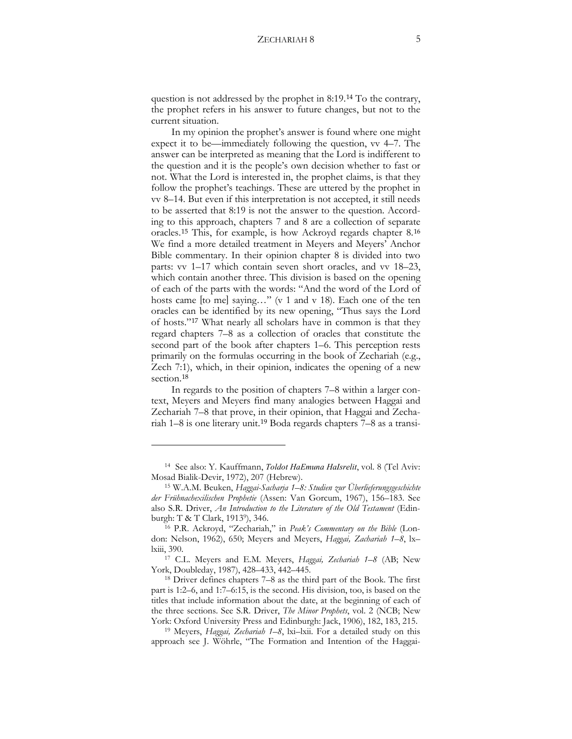question is not addressed by the prophet in 8:19.[14](#page-4-0) To the contrary, the prophet refers in his answer to future changes, but not to the current situation.

In my opinion the prophet's answer is found where one might expect it to be—immediately following the question,  $vv$  4–7. The answer can be interpreted as meaning that the Lord is indifferent to the question and it is the people's own decision whether to fast or not. What the Lord is interested in, the prophet claims, is that they follow the prophet's teachings. These are uttered by the prophet in vv 8–14. But even if this interpretation is not accepted, it still needs to be asserted that 8:19 is not the answer to the question. According to this approach, chapters 7 and 8 are a collection of separate oracles.[15](#page-4-1) This, for example, is how Ackroyd regards chapter 8.[16](#page-4-2) We find a more detailed treatment in Meyers and Meyers' Anchor Bible commentary. In their opinion chapter 8 is divided into two parts: vv 1–17 which contain seven short oracles, and vv 18–23, which contain another three. This division is based on the opening of each of the parts with the words: "And the word of the Lord of hosts came [to me] saying…" (v 1 and v 18). Each one of the ten oracles can be identified by its new opening, "Thus says the Lord of hosts."[17](#page-4-3) What nearly all scholars have in common is that they regard chapters 7–8 as a collection of oracles that constitute the second part of the book after chapters 1–6. This perception rests primarily on the formulas occurring in the book of Zechariah (e.g., Zech 7:1), which, in their opinion, indicates the opening of a new section.[18](#page-4-4)

In regards to the position of chapters 7–8 within a larger context, Meyers and Meyers find many analogies between Haggai and Zechariah 7–8 that prove, in their opinion, that Haggai and Zechariah 1–8 is one literary unit.[19](#page-4-5) Boda regards chapters 7–8 as a transi-

<span id="page-4-0"></span><sup>&</sup>lt;sup>14</sup> See also: Y. Kauffmann, *Toldot HaEmuna HaIsrelit*, vol. 8 (Tel Aviv: Mosad Bialik-Devir, 1972), 207 (Hebrew). 15 W.A.M. Beuken, *Haggai-Sacharja 1–8: Studien zur Überlieferungsgeschichte* 

<span id="page-4-1"></span>*der Frühnachexilischen Prophetie* (Assen: Van Gorcum, 1967), 156–183. See also S.R. Driver, *An Introduction to the Literature of the Old Testament* (Edinburgh: T & T Clark, 19139), 346.

<span id="page-4-2"></span><sup>16</sup> P.R. Ackroyd, "Zechariah," in *Peak's Commentary on the Bible* (London: Nelson, 1962), 650; Meyers and Meyers, *Haggai, Zachariah 1–8*, lx– lxiii, 390.

<span id="page-4-3"></span><sup>&</sup>lt;sup>17</sup> C.L. Meyers and E.M. Meyers, *Haggai, Zechariah 1–8* (AB; New York, Doubleday, 1987), 428–433, 442–445.

<span id="page-4-4"></span><sup>18</sup> Driver defines chapters 7–8 as the third part of the Book. The first part is 1:2–6, and 1:7–6:15, is the second. His division, too, is based on the titles that include information about the date, at the beginning of each of the three sections. See S.R. Driver, *The Minor Prophets*, vol. 2 (NCB; New York: Oxford University Press and Edinburgh: Jack, 1906), 182, 183, 215.

<span id="page-4-5"></span><sup>19</sup> Meyers, *Haggai, Zechariah 1–8*, lxi–lxii. For a detailed study on this approach see J. Wöhrle, "The Formation and Intention of the Haggai-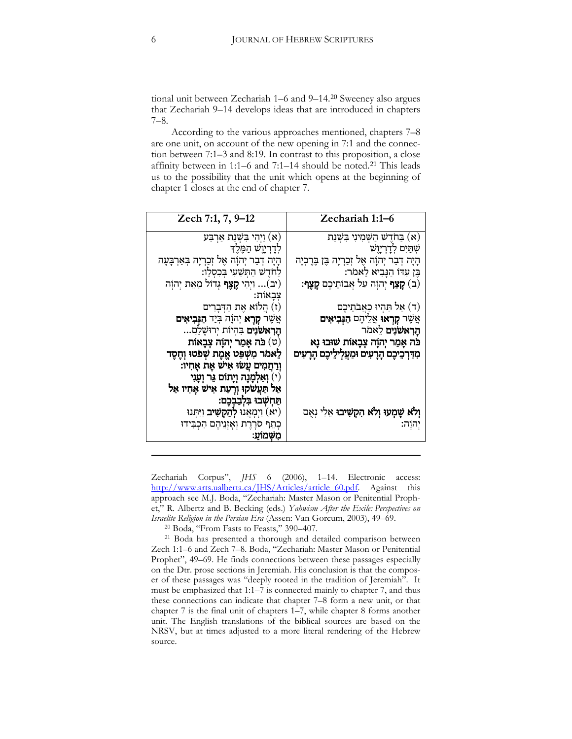tional unit between Zechariah 1–6 and 9–14.<sup>20</sup> Sweeney also argues that Zechariah 9–14 develops ideas that are introduced in chapters  $7 - 8.$ 

According to the various approaches mentioned, chapters 7–8 are one unit, on account of the new opening in 7:1 and the connection between 7:1–3 and 8:19. In contrast to this proposition, a close affinity between in 1:1–6 and 7:1–14 should be noted.<sup>21</sup> This leads us to the possibility that the unit which opens at the beginning of chapter 1 closes at the end of chapter 7.

| Zech 7:1, 7, 9–12                                      | Zechariah 1:1-6                                        |
|--------------------------------------------------------|--------------------------------------------------------|
| (א) וַיְהִי בִּשְׁנַת אַרְבַּע                         | (א) בַּחֹדֵשׁ הַשְּׁמִינִי בִּשְׁנַת                   |
| לִדָרְיָיֵשׁ הַמֵּלֵדִּ                                | שִׁתַּיִם לְדָרְיָוֵשׁ                                 |
| הָיָה דִבַר יִהוָה אֵל זִכַרִיָה בִּאַרִבָּעָה         | הָיָה דִּבַר יְהוָה אֶל זְכַרְיָה בֶּן בֶּרֶכְיָה      |
| לַחֹדֵשׁ הַתְּשָׁעִי בִּכְסְלֵוּ:                      | ּבֵן עִדּוֹ הַנָּבִיא לֵאמֹר:                          |
| (יב) וַיְהִי <b>קֶצֶף</b> גָּדוֹל מֵאֵת יְהוָה         | (ב) <b>קַצַף</b> יִהוַה עַל אֲבוֹתֵיכֶם <b>קָצֶף</b> : |
| צבאות:                                                 |                                                        |
| ו) הֵלוֹא אֶת הַדְּבָרִים)                             | (ד) אַל תְּהִיוּ כַאֲבֹתֵיכֵם                          |
| אֲשֶׁר <b>קָרָא</b> יְהוָה בְּיַד הַ <b>ּנְבִיאִים</b> | אֲשֶׁר <b>קָרְאוּ</b> אֲלֵיהֶם <b>הַנְּבִיאִים</b>     |
| <b>הַרְאִשׂנִים</b> בִּהְיוֹת יְרוּשַׁלַם              | הָרְאֹשׂנִים לֵאמֹר                                    |
| (ט) כֹּה אָמַר יְהוָה צְבָאוֹת                         | כּה אָמַר יְהוָה צִבָאוֹת שׁוּבוּ נָא                  |
| לֵאמֹר מִשְׁפַּט אֱמֶת שְׁפֹטוּ וְחֶסֶד                | מִדַּרְכֵיכֶם הָרָעִים וּמַעֲלְילֵיכֶם הָרָעִים        |
| וְרַחֲמִים עֲשׂוּ אִישׁ אֶת אָחִיו:                    |                                                        |
| (י) וְאַלְמָנָה וְיָתוֹם גֵּר וְעָנִי)                 |                                                        |
| אַל תַּעֲשׂקוּ וְרָעַת אִישׁ אָחִיו אַל                |                                                        |
| תַּחְשְׁבוּ בִלְבַבְכֶם:                               |                                                        |
| יִמְאֲנוּ <b>לְהַקְשָׁיב</b> וַיִּתְנוּ)               | וְלֹא שָׁמְעוּ וְלֹא הִקְשִׁיבוּ אֵלַי נְאֻם           |
| כְתֵף סֹרָרֶת וְאָזְנֵיהֶם הִכְבִּידוּ                 | יְהוְ֫ה׃                                               |
| מִשְׁמוֹעַ:                                            |                                                        |

Zechariah Corpus", JHS 6 (2006), 1-14. Electronic access: http://www.arts.ualberta.ca/JHS/Articles/article 60.pdf. Against this approach see M.J. Boda, "Zechariah: Master Mason or Penitential Prophet," R. Albertz and B. Becking (eds.) Yahwism After the Exile: Perspectives on Israelite Religion in the Persian Era (Assen: Van Gorcum, 2003), 49-69.

<sup>20</sup> Boda, "From Fasts to Feasts," 390-407.

<span id="page-5-1"></span><span id="page-5-0"></span><sup>21</sup> Boda has presented a thorough and detailed comparison between Zech 1:1-6 and Zech 7-8. Boda, "Zechariah: Master Mason or Penitential Prophet", 49–69. He finds connections between these passages especially on the Dtr. prose sections in Jeremiah. His conclusion is that the composer of these passages was "deeply rooted in the tradition of Jeremiah". It must be emphasized that 1:1-7 is connected mainly to chapter 7, and thus these connections can indicate that chapter 7–8 form a new unit, or that chapter 7 is the final unit of chapters 1-7, while chapter 8 forms another unit. The English translations of the biblical sources are based on the NRSV, but at times adjusted to a more literal rendering of the Hebrew source.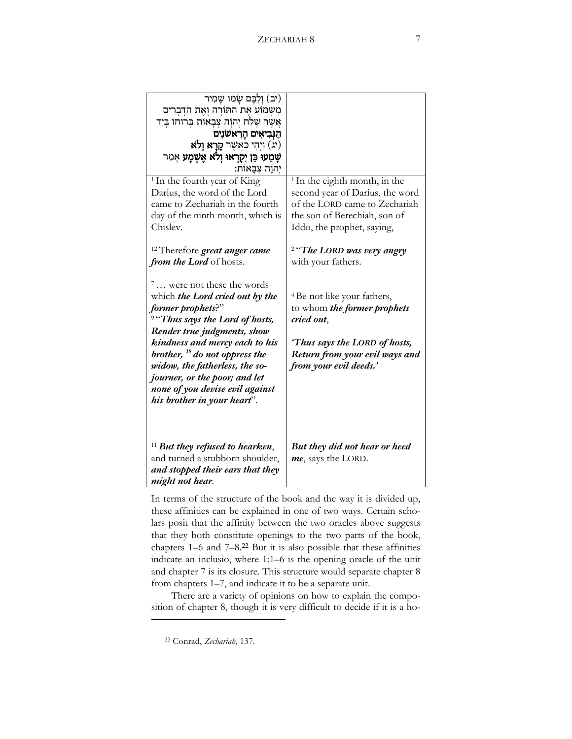| יב) וְלִבָּם שַׂמוּ שַׁמְיר)<br>מְשָׁמוֹעַ אֶת הַחּוֹרָה וְאֶת הַדְּבָרִים<br>אֲשֶׁר שָׁלַח יְהוָה צִבָאוֹת בִּרוּחוֹ בִּיַד<br>הַנִּבִיאִים הָרְאַשׂנִים<br>יג) וַיְהִי כַאֲשֶׁר <b>קָרָא וְלֹא</b> )<br>שַׁמֱעוּ כֵּן יִקְרָאוּ וְלֹא אֱשְׁמַע אָמַר<br>יִהוַׁה צִבְאוֹת:                                                                                                      |                                                                                                                                                                                         |
|----------------------------------------------------------------------------------------------------------------------------------------------------------------------------------------------------------------------------------------------------------------------------------------------------------------------------------------------------------------------------------|-----------------------------------------------------------------------------------------------------------------------------------------------------------------------------------------|
| <sup>1</sup> In the fourth year of King<br>Darius, the word of the Lord<br>came to Zechariah in the fourth<br>day of the ninth month, which is<br>Chisley.                                                                                                                                                                                                                       | $1$ In the eighth month, in the<br>second year of Darius, the word<br>of the LORD came to Zechariah<br>the son of Berechiah, son of<br>Iddo, the prophet, saying,                       |
| <sup>12</sup> Therefore <i>great anger came</i><br>from the Lord of hosts.                                                                                                                                                                                                                                                                                                       | <sup>2</sup> "The LORD was very angry<br>with your fathers.                                                                                                                             |
| $7$ were not these the words<br>which the Lord cried out by the<br>former prophets?"<br><sup>9 "</sup> Thus says the Lord of hosts,<br>Render true judgments, show<br>kindness and mercy each to his<br>brother, $^{10}$ do not oppress the<br>widow, the fatherless, the so-<br>journer, or the poor; and let<br>none of you devise evil against<br>his brother in your heart". | <sup>4</sup> Be not like your fathers,<br>to whom <i>the former prophets</i><br>cried out,<br>'Thus says the LORD of hosts,<br>Return from your evil ways and<br>from your evil deeds.' |
| $11$ But they refused to hearken,<br>and turned a stubborn shoulder,<br>and stopped their ears that they<br>might not hear.                                                                                                                                                                                                                                                      | But they did not hear or heed<br>me, says the LORD.                                                                                                                                     |

In terms of the structure of the book and the way it is divided up, these affinities can be explained in one of two ways. Certain scholars posit that the affinity between the two oracles above suggests that they both constitute openings to the two parts of the book, chapters 1–6 and 7–8.[22](#page-6-0) But it is also possible that these affinities indicate an inclusio, where 1:1–6 is the opening oracle of the unit and chapter 7 is its closure. This structure would separate chapter 8 from chapters 1–7, and indicate it to be a separate unit.

There are a variety of opinions on how to explain the composition of chapter 8, though it is very difficult to decide if it is a ho-

<span id="page-6-0"></span> $\ddot{\phantom{a}}$ 

<sup>22</sup> Conrad, *Zechariah*, 137.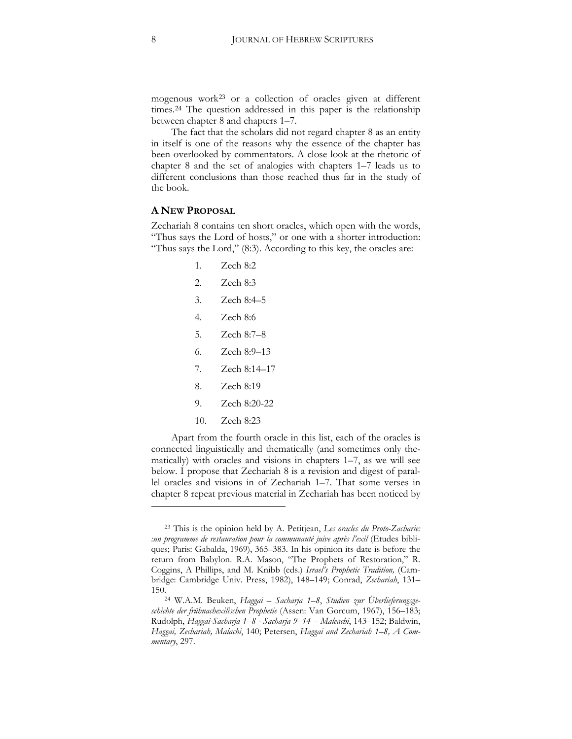mogenous work[23](#page-7-0) or a collection of oracles given at different times.[24](#page-7-1) The question addressed in this paper is the relationship between chapter 8 and chapters 1–7.

The fact that the scholars did not regard chapter 8 as an entity in itself is one of the reasons why the essence of the chapter has been overlooked by commentators. A close look at the rhetoric of chapter 8 and the set of analogies with chapters 1–7 leads us to different conclusions than those reached thus far in the study of the book.

### **A NEW PROPOSAL**

Zechariah 8 contains ten short oracles, which open with the words, "Thus says the Lord of hosts," or one with a shorter introduction: "Thus says the Lord," (8:3). According to this key, the oracles are:

- 1. Zech 8:2
- 2. Zech 8:3
- 3. Zech 8:4–5
- 4. Zech 8:6
- 5. Zech 8:7–8
- 6. Zech 8:9–13
- 7. Zech 8:14–17
- 8. Zech 8:19
- 9. Zech 8:20-22
- 10. Zech 8:23

 $\overline{a}$ 

Apart from the fourth oracle in this list, each of the oracles is connected linguistically and thematically (and sometimes only thematically) with oracles and visions in chapters 1–7, as we will see below. I propose that Zechariah 8 is a revision and digest of parallel oracles and visions in of Zechariah 1–7. That some verses in chapter 8 repeat previous material in Zechariah has been noticed by

<span id="page-7-0"></span><sup>23</sup> This is the opinion held by A. Petitjean, *Les oracles du Proto-Zacharie: :un programme de restauration pour la communauté juive après l'exil* (Etudes bibliques; Paris: Gabalda, 1969), 365–383. In his opinion its date is before the return from Babylon. R.A. Mason, "The Prophets of Restoration," R. Coggins, A Phillips, and M. Knibb (eds.) *Israel's Prophetic Tradition,* (Cambridge: Cambridge Univ. Press, 1982), 148-149; Conrad, *Zechariah*, 131-150.24 W.A.M. Beuken, *Haggai – Sacharja 1–8*, *Studien zur Überlieferungsge-*

<span id="page-7-1"></span>schichte der frühnachexilischen Prophetie (Assen: Van Gorcum, 1967), 156–183; Rudolph, *Haggai-Sacharja 1–8 - Sacharja 9–14 – Maleachi*, 143–152; Baldwin, Haggai, Zechariah, Malachi, 140; Petersen, *Haggai and Zechariah 1–8, A Commentary*, 297.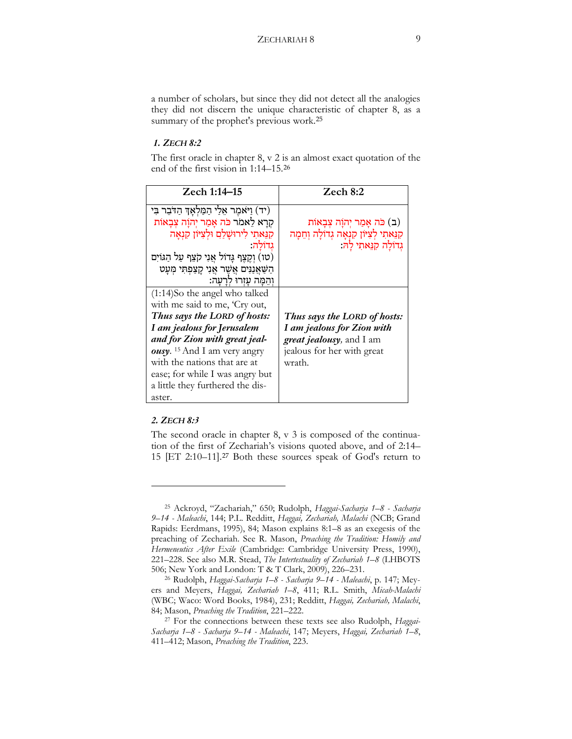a number of scholars, but since they did not detect all the analogies they did not discern the unique characteristic of chapter 8, as a summary of the prophet's previous work.[25](#page-8-0)

#### *1. ZECH 8:2*

The first oracle in chapter 8, v 2 is an almost exact quotation of the end of the first vision in 1:14–15.[26](#page-8-1)

| Zech 1:14–15                                           | Zech 8:2                                                           |
|--------------------------------------------------------|--------------------------------------------------------------------|
| יד) וַיֹּאמֶר אֱלַי הַמַּלְאַדְּ הַדִּבֵר בִּי)        |                                                                    |
| קרָא לֵאמֹר כֹּה אָמַר יִהוָה צִבָאוֹת                 | (ב) כֹּה אָמַר יְהוָׁה צִבָאוֹת                                    |
| קנאתי לירוּשַׁלַם וּלִצְיּוֹן קִנְאַה                  |                                                                    |
| גדולה                                                  | קנאתי לְצִיּוֹן קוֹצְה גְדוֹלָה וְחֵמָה<br>גִדוֹלָה קִנֵּאתִי לָהּ |
| (טו) וְקֵצֶף גַּדוֹל אֲנִי קֹצֵף עַל הַגּוֹיִם         |                                                                    |
| הַשַּׁאֲנַגִּים אֲשֶׁר אֲנִי קַצַּפִתִּי מִעָט         |                                                                    |
| וְהֵמֵה עַזְרוּ לְרַעֲה:                               |                                                                    |
| $(1:14)$ So the angel who talked                       |                                                                    |
| with me said to me, 'Cry out,                          |                                                                    |
| Thus says the LORD of hosts:                           | Thus says the LORD of hosts:                                       |
| I am jealous for Jerusalem                             | I am jealous for Zion with                                         |
| and for Zion with great jeal-                          | great jealousy, and I am                                           |
| <b><i>ousy</i></b> . <sup>15</sup> And I am very angry | jealous for her with great                                         |
| with the nations that are at                           | wrath.                                                             |
| ease; for while I was angry but                        |                                                                    |
| a little they furthered the dis-                       |                                                                    |
| aster.                                                 |                                                                    |

# *2. ZECH 8:3*

 $\overline{a}$ 

The second oracle in chapter 8, v 3 is composed of the continuation of the first of Zechariah's visions quoted above, and of 2:14– 15 [ET 2:10–11].[27](#page-8-2) Both these sources speak of God's return to

<span id="page-8-0"></span><sup>&</sup>lt;sup>25</sup> Ackroyd, "Zachariah," 650; Rudolph, *Haggai-Sacharja 1–8 - Sacharja* 9-14 - Maleachi, 144; P.L. Redditt, *Haggai, Zechariah, Malachi* (NCB; Grand Rapids: Eerdmans, 1995), 84; Mason explains 8:1-8 as an exegesis of the preaching of Zechariah. See R. Mason, *Preaching the Tradition: Homily and Hermeneutics After Exile* (Cambridge: Cambridge University Press, 1990), 221–228. See also M.R. Stead, *The Intertestuality of Zechariah 1*–*8* (LHBOTS 506h New York and London: T & T Clark, 2009), 226–231. 26 Rudolph, *Haggai-Sacharja 1–8 - Sacharja 9–14 - Maleachi*, p. 147h Mey-

<span id="page-8-1"></span>ers and Meyers, *Haggai, Zechariah 1*-8, 411; R.L. Smith, *Micah-Malachi* (WBC; Waco: Word Books, 1984), 231; Redditt, *Haggai, Zechariah, Malachi*, 84; Mason, *Preaching the Tradition*, 221-222.

<span id="page-8-2"></span><sup>27</sup> For the connections between these texts see also Rudolph, *Haggai-Sacharja 1–8 - Sacharja 9–14 - Maleachi*, 147h Meyers, *Haggai, Zechariah 1–8*, 411-412; Mason, *Preaching the Tradition*, 223.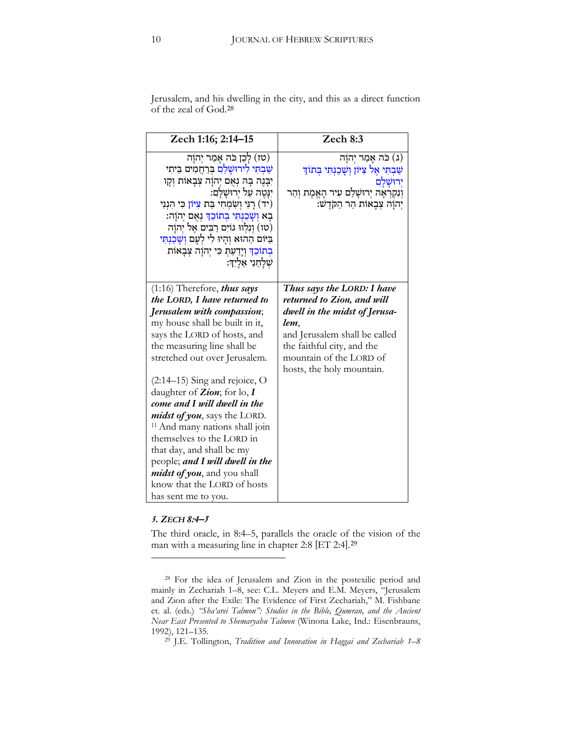| Zech 1:16; 2:14-15                                                     | Zech 8:3                                                    |
|------------------------------------------------------------------------|-------------------------------------------------------------|
| (טז) לָכֵן כֹּה אָמַר יִהוָה                                           | $\pi$ בה אָמַר יְהוָה) (ג)                                  |
| שַׁבִתְּי לְירוּשָׁלַם בְּרַחֲמִים בֵּיתִי                             | שַׁבִתִּי אֶל צִיּוֹן וְשָ <mark>ׁכַנְתִּי בְּתוֹד</mark> ִ |
| יִבָּנֵה בָּה נִאָם יִהוָה צִבָאוֹת וְקַו                              | יִרוּשַׁלַם                                                 |
| יִנַּטֵה עַל יִרוּשַׁלַם:                                              | וְנִקְרָאָה יְרוּשָׁלַם עִיר הָאֱמֶת וְהַר                  |
| יד) רַנִּי וְשָׂמְחִי בַּת צִיּּוֹן כִּי הִנְנִי)                      | יְהוַה צִבְאוֹת הַר הַקְדֵשׁ:                               |
| בָא וְשַׁכַּנְתִּי בְתוֹכֵךְ נְאָם יְהוַה:                             |                                                             |
| (טו) וְנִלְוּוּ גוֹיִם רַבִּים אֱל יְהוַה                              |                                                             |
| בַּיּוֹם הַהוּא וְהָיוּ לִי לְעַם וְשַׁבַנִתְי                         |                                                             |
| בְתוֹכֵךְ וְיָדַעַתְּ כִּי יְהוָה צְבָאוֹת                             |                                                             |
| שַׁלַחַנִי אֱלַיִדְ:                                                   |                                                             |
| $(1:16)$ Therefore, thus says                                          | Thus says the LORD: I have                                  |
| the LORD, I have returned to                                           | returned to Zion, and will                                  |
| Jerusalem with compassion;                                             | dwell in the midst of Jerusa-                               |
| my house shall be built in it,                                         | lem,                                                        |
| says the LORD of hosts, and                                            | and Jerusalem shall be called                               |
| the measuring line shall be                                            | the faithful city, and the                                  |
| stretched out over Jerusalem.                                          | mountain of the LORD of                                     |
|                                                                        | hosts, the holy mountain.                                   |
| $(2:14-15)$ Sing and rejoice, O                                        |                                                             |
| daughter of Zion; for lo, I                                            |                                                             |
| come and I will dwell in the                                           |                                                             |
| <i>midst of you</i> , says the LORD.                                   |                                                             |
| <sup>11</sup> And many nations shall join                              |                                                             |
| themselves to the LORD in                                              |                                                             |
| that day, and shall be my                                              |                                                             |
| people; and I will dwell in the<br><i>midst of you</i> , and you shall |                                                             |
| know that the LORD of hosts                                            |                                                             |
| has sent me to you.                                                    |                                                             |

Jerusalem, and his dwelling in the city, and this as a direct function of the zeal of God.[28](#page-9-0)

# *3. ZECH 8:4–5*

 $\ddot{\phantom{a}}$ 

The third oracle, in 8:4–5, parallels the oracle of the vision of the man with a measuring line in chapter 2:8 [ET 2:4].[29](#page-9-1)

<sup>29</sup> J.E. Tollington, *Tradition and Innovation in Haggai and Zechariah 1–8*

<span id="page-9-1"></span><span id="page-9-0"></span><sup>28</sup> For the idea of Jerusalem and Zion in the postexilic period and mainly in Zechariah 1–8, see: C.L. Meyers and E.M. Meyers, "Jerusalem and Zion after the Exile: The Evidence of First Zechariah," M. Fishbane et. al. (eds.) *"Sha'arei Talmon": Studies in the Bible, Qumran, and the Ancient Near East Presented to Shemaryahu Talmon* (Winona Lake, Ind.: Eisenbrauns, 1992), 121–135.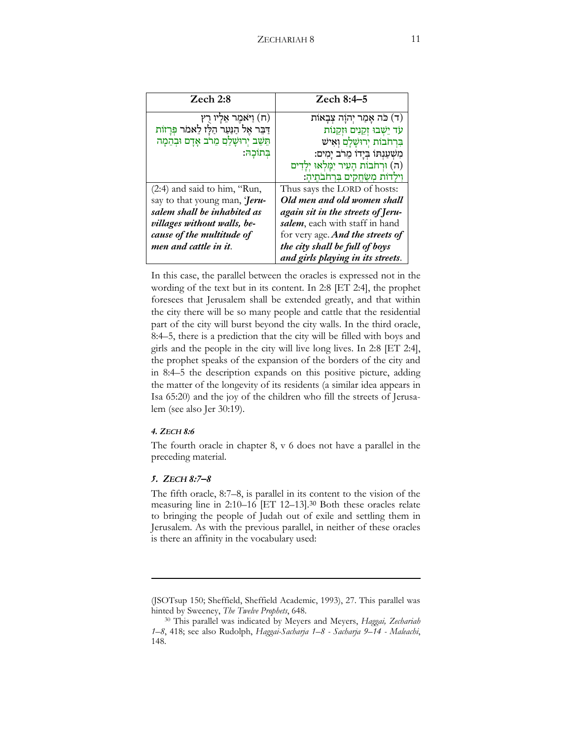| Zech 2:8                                     | Zech 8:4-5                               |
|----------------------------------------------|------------------------------------------|
| ת) וַיֹּאמֵר אֵלַיו רָץ)                     | (ד) כֹּה אָמַר יְהוָה צִבָאוֹת           |
| דַּבֵּר אֵל הַנַּעַר הַלָּז לֵאמֹר פִּרָזוֹת | עד יֵשְׁבוּ זְקֵנִים וּזְקֵנוֹת          |
| תֵּשֵׁב יְרוּשָׁלַם מֵרֹב אָדָם וּבְהֵמָה    | בִּרְחֹבוֹת יְרוּשַׁלַם וְאִיש           |
| בתוכה:                                       | מִשְׁעַנְתּוֹ בְּיַדוֹ מֵרֹב יַמִים:     |
|                                              | (ה) וּרְחֹבוֹת הַעִיר יְמֵלְאוּ יְלַדִים |
|                                              | וִילַדוֹת מִשַּׂחֲקִים בִּרְחֹבֹתֵיהַ:   |
| $(2:4)$ and said to him, "Run,               | Thus says the LORD of hosts:             |
| say to that young man, <i>Jeru-</i>          | Old men and old women shall              |
| salem shall be inhabited as                  | again sit in the streets of Jeru-        |
| villages without walls, be-                  | salem, each with staff in hand           |
| cause of the multitude of                    | for very age. And the streets of         |
| men and cattle in it.                        | the city shall be full of boys           |
|                                              | and girls playing in its streets.        |

In this case, the parallel between the oracles is expressed not in the wording of the text but in its content. In 2:8 [ET 2:4], the prophet foresees that Jerusalem shall be extended greatly, and that within the city there will be so many people and cattle that the residential part of the city will burst beyond the city walls. In the third oracle, 8:4–5, there is a prediction that the city will be filled with boys and girls and the people in the city will live long lives. In 2:8 [ET 2:4], the prophet speaks of the expansion of the borders of the city and in 8:4–5 the description expands on this positive picture, adding the matter of the longevity of its residents (a similar idea appears in Isa 65:20) and the joy of the children who fill the streets of Jerusalem (see also Jer 30:19).

# *4. ZECH 8:6*

The fourth oracle in chapter 8, v 6 does not have a parallel in the preceding material.

#### *5. ZECH 8:7–8*

<u>.</u>

The fifth oracle, 8:7–8, is parallel in its content to the vision of the measuring line in 2:10–16 [ET 12–13].[30](#page-10-0) Both these oracles relate to bringing the people of Judah out of exile and settling them in Jerusalem. As with the previous parallel, in neither of these oracles is there an affinity in the vocabulary used:

<sup>(</sup>JSOTsup 150; Sheffield, Sheffield Academic, 1993), 27. This parallel was hinted by Sweeney, *The Twelve Prophets*, 648. 30 This parallel was indicated by Meyers and Meyers, *Haggai, Zechariah* 

<span id="page-10-0"></span>*<sup>1–8</sup>*, 418h see also Rudolph, *Haggai-Sacharja 1–8 - Sacharja 9–14 - Maleachi*, 148.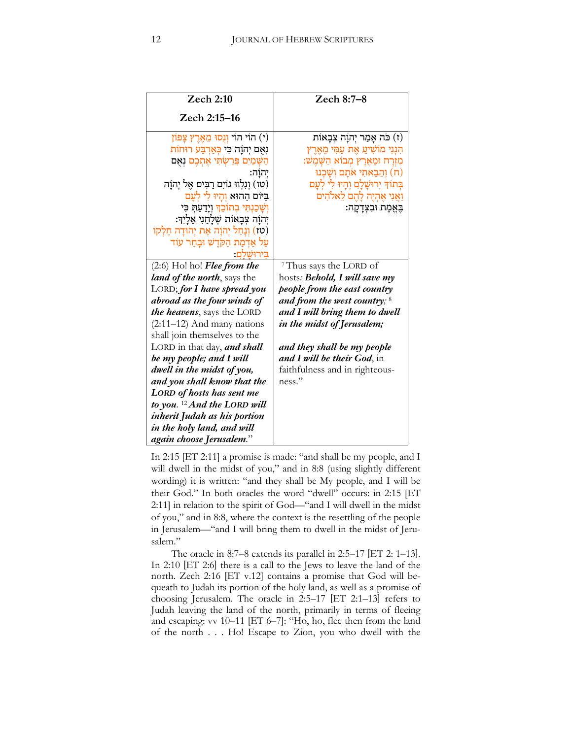| <b>Zech 2:10</b>                            | Zech 8:7-8                             |
|---------------------------------------------|----------------------------------------|
| Zech 2:15–16                                |                                        |
| י) הוֹי הוֹי וְנָסוּ מֵאֶרֶץ צָפוֹן)        | (ז) כֹּה אָמַר יִהוַּה צְבָאוֹת)       |
| נְאָם יְהוָה כִּי כְּאַרְבַּע רוּחוֹת       | הִנְנִי מוֹשִׁיטַ אֵת עַמִּי מֵאֵרֵץ   |
| הַשָּׁמַיִם פֵּרַשָׂתִּי אֵתְכֵם נִאָם      | ּמְזָרָח וּמֵאֵרֵץ מִבוֹא הַשָּׁמֵשׁ:  |
| יִהוַה:                                     | (ח) וְהֵבֵאתִי אֹתָם וְשָׁכְנוּ        |
| (טו) וְנִלְוּוּ גוֹיִם רַבִּים אֵל יִהוַֹּה | בִּתוֹדְ יִרוּשָׁלָם וְהַיוּ לִי לְעַם |
| בַּיּוֹם הַהוּא וְהַיוּ לִי לְעַם           | וַאֲנִי אֲהָיֵה לָהֶם לֵאלֹהִים        |
| וְשָׁכַנְתִּי בְתוֹכֵךְ וְיָדַעַתְּ כִּי    | בֵאֱמֵת וּבִצְדָקָה:                   |
| יִהוָׁה צִבָאוֹת שִׁלָּחַנִי אֵלְיִךָּ:     |                                        |
| (טז) וְנַחַל יְהוַה אֵת יְהוּדַה חֵלְקוֹ    |                                        |
| עַל אַדְמַת הַקֹּדֵשׁ וּבָחַר עוֹד          |                                        |
| בירוּשׁלם:                                  |                                        |
| $(2:6)$ Ho! ho! Flee from the               | <sup>7</sup> Thus says the LORD of     |
| land of the north, says the                 | hosts: Behold, I will save my          |
| LORD; for I have spread you                 | people from the east country           |
| abroad as the four winds of                 | and from the west country; $8$         |
| the heavens, says the LORD                  | and I will bring them to dwell         |
| $(2:11-12)$ And many nations                | in the midst of Jerusalem;             |
| shall join themselves to the                |                                        |
| LORD in that day, and shall                 | and they shall be my people            |
| be my people; and I will                    | and I will be their God, in            |
| dwell in the midst of you,                  | faithfulness and in righteous-         |
| and you shall know that the                 | ness."                                 |
| LORD of hosts has sent me                   |                                        |
| to you. <sup>12</sup> And the LORD will     |                                        |
| inherit Judah as his portion                |                                        |
| in the holy land, and will                  |                                        |
| again choose Jerusalem."                    |                                        |

In 2:15 [ET 2:11] a promise is made: "and shall be my people, and I will dwell in the midst of you," and in 8:8 (using slightly different wording) it is written: "and they shall be My people, and I will be their God." In both oracles the word "dwell" occurs: in 2:15 [ET 2:11] in relation to the spirit of God—"and I will dwell in the midst of you," and in 8:8, where the context is the resettling of the people in Jerusalem—"and I will bring them to dwell in the midst of Jerusalem."

The oracle in 8:7–8 extends its parallel in 2:5–17 [ET 2: 1–13]. In 2:10 [ET 2:6] there is a call to the Jews to leave the land of the north. Zech 2:16 [ET v.12] contains a promise that God will bequeath to Judah its portion of the holy land, as well as a promise of choosing Jerusalem. The oracle in  $2:5-17$  [ET  $2:1-13$ ] refers to Judah leaving the land of the north, primarily in terms of fleeing and escaping: vv 10-11 [ET 6-7]: "Ho, ho, flee then from the land of the north . . . Ho! Escape to Zion, you who dwell with the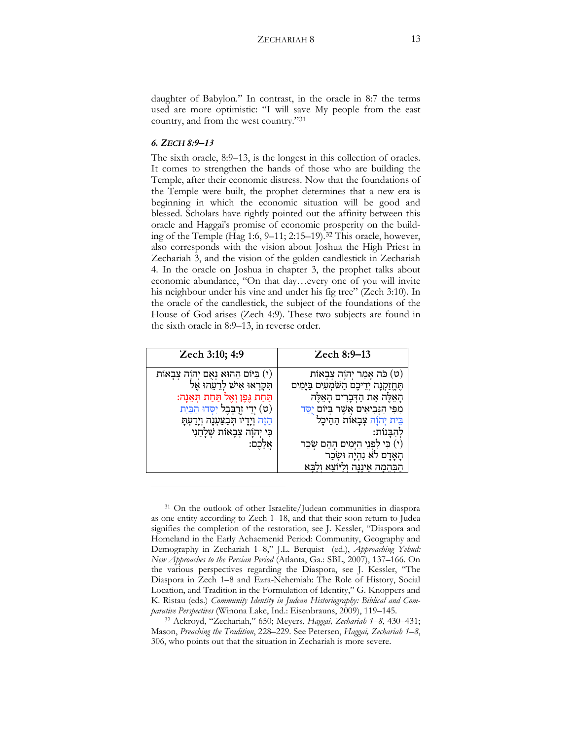daughter of Babylon." In contrast, in the oracle in 8:7 the terms used are more optimistic: "I will save My people from the east country, and from the west country."31

#### 6. ZECH 8:9-13

The sixth oracle, 8:9–13, is the longest in this collection of oracles. It comes to strengthen the hands of those who are building the Temple, after their economic distress. Now that the foundations of the Temple were built, the prophet determines that a new era is beginning in which the economic situation will be good and blessed. Scholars have rightly pointed out the affinity between this oracle and Haggai's promise of economic prosperity on the building of the Temple (Hag 1:6, 9–11; 2:15–19).<sup>32</sup> This oracle, however, also corresponds with the vision about Joshua the High Priest in Zechariah 3, and the vision of the golden candlestick in Zechariah 4. In the oracle on Joshua in chapter 3, the prophet talks about economic abundance, "On that day...every one of you will invite his neighbour under his vine and under his fig tree" (Zech 3:10). In the oracle of the candlestick, the subject of the foundations of the House of God arises (Zech 4:9). These two subjects are found in the sixth oracle in 8:9–13, in reverse order.

| Zech 3:10; 4:9                                                                                                                                                                                                                                                       | Zech 8:9-13                                                                                                                                                                                                                                              |
|----------------------------------------------------------------------------------------------------------------------------------------------------------------------------------------------------------------------------------------------------------------------|----------------------------------------------------------------------------------------------------------------------------------------------------------------------------------------------------------------------------------------------------------|
| יהוַה עִבָאוֹת) בַּיּוֹם הַהוּא נִאָם יְהוַה עָבָאוֹת<br>תִּקְרְאוּ אִישׁ לְרֵעֵהוּ אֵל<br>תַּחַת גֵּפֵן וְאֵל תַּחַת תְּאֵנָה:<br>(ט) יְדֵי זְרֻבְּבֶל יִסְדוּ הַבַּיִת<br>הַזֶּה וְיָדִיו תְּבַצַּעְנָה וְיָדַעְתָּ<br>ּבִי יְהוָה צִבָאוֹת שָׁלָחַנִי<br>אֲלֵכֶם: | (ט) כֹּה אָמַר יְהוָה צְבָאוֹת<br>תֶּחֱזַקְנָה יְדֵיכֶם הַשַּׁמְעִים בַּיָּמִים<br>הָאֵלֶּה אֵת הַדְּבָרִים הָאֵלֵּה<br>מִפִּי הַנִּבִיאִים אֲשֶׁר בִּיוֹם יָסַד<br>בֵּית יְהוַה צִבָאוֹת הַהֵיכָל<br>להבנות:<br>(י) כִּי לִפְנֵי הַיָּמִים הָהֵם שָׂכַר |
|                                                                                                                                                                                                                                                                      | הָאָדָם לֹא גִהִיָּה וּשָׂבַר<br>הבהמה איננה וליוצא ו                                                                                                                                                                                                    |

<span id="page-12-0"></span><sup>&</sup>lt;sup>31</sup> On the outlook of other Israelite/Judean communities in diaspora as one entity according to Zech 1-18, and that their soon return to Judea signifies the completion of the restoration, see J. Kessler, "Diaspora and Homeland in the Early Achaemenid Period: Community, Geography and Demography in Zechariah 1-8," J.L. Berquist (ed.), Approaching Yehud: New Approaches to the Persian Period (Atlanta, Ga.: SBL, 2007), 137-166. On the various perspectives regarding the Diaspora, see J. Kessler, "The Diaspora in Zech 1-8 and Ezra-Nehemiah: The Role of History, Social Location, and Tradition in the Formulation of Identity," G. Knoppers and K. Ristau (eds.) Community Identity in Judean Historiography: Biblical and Comparative Perspectives (Winona Lake, Ind.: Eisenbrauns, 2009), 119-145.

<span id="page-12-1"></span><sup>&</sup>lt;sup>32</sup> Ackroyd, "Zechariah," 650; Meyers, Haggai, Zechariah 1-8, 430-431; Mason, Preaching the Tradition, 228-229. See Petersen, Haggai, Zechariah 1-8, 306, who points out that the situation in Zechariah is more severe.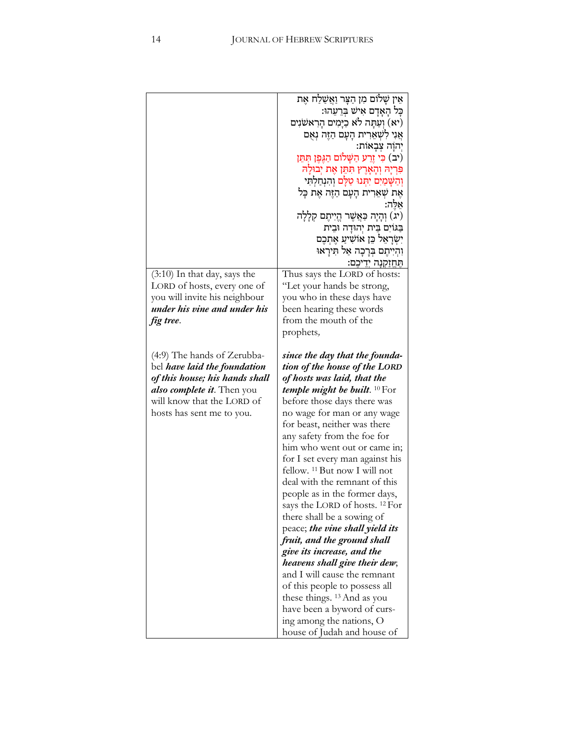|                                                                                                                                                                                        | אֵין שָׁלוֹם מִן הַצָּר וַאֲשַׁלַח אֵת                                                                                                                                                                                                                                                                                                                                                                                                                                                                                                                                                                                                     |
|----------------------------------------------------------------------------------------------------------------------------------------------------------------------------------------|--------------------------------------------------------------------------------------------------------------------------------------------------------------------------------------------------------------------------------------------------------------------------------------------------------------------------------------------------------------------------------------------------------------------------------------------------------------------------------------------------------------------------------------------------------------------------------------------------------------------------------------------|
|                                                                                                                                                                                        | ּכַּל הָאָדָם אִישׁ בְּרֵעֲהוּ:                                                                                                                                                                                                                                                                                                                                                                                                                                                                                                                                                                                                            |
|                                                                                                                                                                                        | (יא) וְעַתָּה לֹא כַיַּמִים הַרְאַשׁׁנִים                                                                                                                                                                                                                                                                                                                                                                                                                                                                                                                                                                                                  |
|                                                                                                                                                                                        | אֲנִי לְשָׁאֲרִית הָעָם הַזֶּה נִאָם                                                                                                                                                                                                                                                                                                                                                                                                                                                                                                                                                                                                       |
|                                                                                                                                                                                        | יְהוַׁה צְבָאוֹת:                                                                                                                                                                                                                                                                                                                                                                                                                                                                                                                                                                                                                          |
|                                                                                                                                                                                        | (יב) כִּי זֶרַע הַשָּׁלוֹם הַגֶּפֶן תִּתֵּן)                                                                                                                                                                                                                                                                                                                                                                                                                                                                                                                                                                                               |
|                                                                                                                                                                                        | פּרְיָהּ וְהָאָרֶץ תִּתֵן אֶת יְבוּלָהּ                                                                                                                                                                                                                                                                                                                                                                                                                                                                                                                                                                                                    |
|                                                                                                                                                                                        | וְהַשָּׁמַיִם יִתְּנוּ טַלָּם וְהִנְחַלְתִּי                                                                                                                                                                                                                                                                                                                                                                                                                                                                                                                                                                                               |
|                                                                                                                                                                                        | אֵת שָׁאֲרִית הָעָם הַזֵּה אֵת כָּל<br>:אַלֵּה                                                                                                                                                                                                                                                                                                                                                                                                                                                                                                                                                                                             |
|                                                                                                                                                                                        | יִתְיָה כַּאֲשֶׁר הֱיִיתָם קְלָלָה) $(x)$                                                                                                                                                                                                                                                                                                                                                                                                                                                                                                                                                                                                  |
|                                                                                                                                                                                        | בַּגּוֹיִם בֵּית יְהוּדָה וּבֵית                                                                                                                                                                                                                                                                                                                                                                                                                                                                                                                                                                                                           |
|                                                                                                                                                                                        | יִשְׂרָאֵל כֵּן אוֹשִׁיעַ אֵתְבֵם                                                                                                                                                                                                                                                                                                                                                                                                                                                                                                                                                                                                          |
|                                                                                                                                                                                        | וְהִיִיתֵם בִּרְכָה אַל תִּירָאוּ                                                                                                                                                                                                                                                                                                                                                                                                                                                                                                                                                                                                          |
|                                                                                                                                                                                        | הַחֵזַקְנָה יִדִיכֵם:                                                                                                                                                                                                                                                                                                                                                                                                                                                                                                                                                                                                                      |
| $(3:10)$ In that day, says the                                                                                                                                                         | Thus says the LORD of hosts:                                                                                                                                                                                                                                                                                                                                                                                                                                                                                                                                                                                                               |
| LORD of hosts, every one of                                                                                                                                                            | "Let your hands be strong,                                                                                                                                                                                                                                                                                                                                                                                                                                                                                                                                                                                                                 |
| you will invite his neighbour                                                                                                                                                          | you who in these days have                                                                                                                                                                                                                                                                                                                                                                                                                                                                                                                                                                                                                 |
| under his vine and under his                                                                                                                                                           | been hearing these words                                                                                                                                                                                                                                                                                                                                                                                                                                                                                                                                                                                                                   |
| fig tree.                                                                                                                                                                              | from the mouth of the                                                                                                                                                                                                                                                                                                                                                                                                                                                                                                                                                                                                                      |
|                                                                                                                                                                                        | prophets,                                                                                                                                                                                                                                                                                                                                                                                                                                                                                                                                                                                                                                  |
|                                                                                                                                                                                        |                                                                                                                                                                                                                                                                                                                                                                                                                                                                                                                                                                                                                                            |
| (4:9) The hands of Zerubba-<br>bel have laid the foundation<br>of this house; his hands shall<br>also complete it. Then you<br>will know that the LORD of<br>hosts has sent me to you. | since the day that the founda-<br>tion of the house of the LORD<br>of hosts was laid, that the<br><i>temple might be built.</i> <sup>10</sup> For<br>before those days there was<br>no wage for man or any wage<br>for beast, neither was there<br>any safety from the foe for<br>him who went out or came in;<br>for I set every man against his<br>fellow. <sup>11</sup> But now I will not<br>deal with the remnant of this<br>people as in the former days,<br>says the LORD of hosts. <sup>12</sup> For<br>there shall be a sowing of<br>peace; the vine shall yield its<br>fruit, and the ground shall<br>give its increase, and the |
|                                                                                                                                                                                        | heavens shall give their dew;                                                                                                                                                                                                                                                                                                                                                                                                                                                                                                                                                                                                              |
|                                                                                                                                                                                        | and I will cause the remnant                                                                                                                                                                                                                                                                                                                                                                                                                                                                                                                                                                                                               |
|                                                                                                                                                                                        | of this people to possess all                                                                                                                                                                                                                                                                                                                                                                                                                                                                                                                                                                                                              |
|                                                                                                                                                                                        | these things. <sup>13</sup> And as you                                                                                                                                                                                                                                                                                                                                                                                                                                                                                                                                                                                                     |
|                                                                                                                                                                                        | have been a byword of curs-                                                                                                                                                                                                                                                                                                                                                                                                                                                                                                                                                                                                                |
|                                                                                                                                                                                        | ing among the nations, O<br>house of Judah and house of                                                                                                                                                                                                                                                                                                                                                                                                                                                                                                                                                                                    |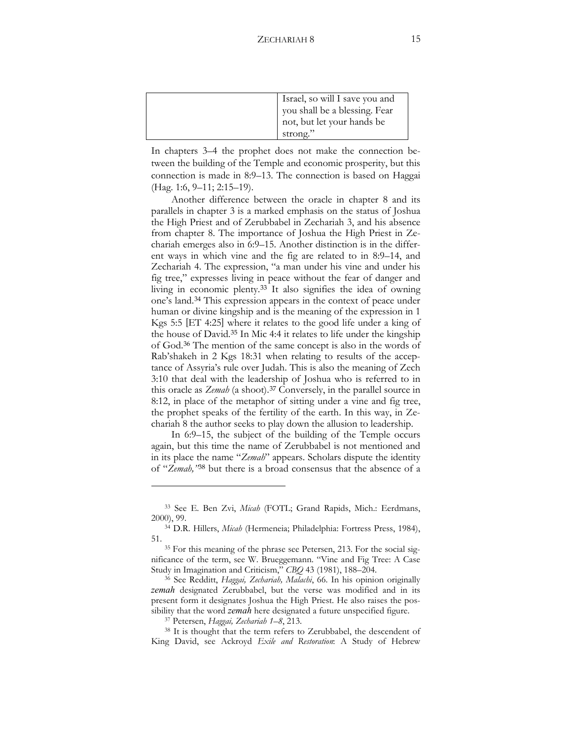| Israel, so will I save you and<br>you shall be a blessing. Fear |
|-----------------------------------------------------------------|
| not, but let your hands be<br>strong."                          |

In chapters 3–4 the prophet does not make the connection between the building of the Temple and economic prosperity, but this connection is made in 8:9–13. The connection is based on Haggai  $(Hag. 1:6, 9-11; 2:15-19).$ 

Another difference between the oracle in chapter 8 and its parallels in chapter 3 is a marked emphasis on the status of Joshua the High Priest and of Zerubbabel in Zechariah 3, and his absence from chapter 8. The importance of Joshua the High Priest in Zechariah emerges also in 6:9–15. Another distinction is in the different ways in which vine and the fig are related to in 8:9–14, and Zechariah 4. The expression, "a man under his vine and under his fig tree," expresses living in peace without the fear of danger and living in economic plenty.[33](#page-14-0) It also signifies the idea of owning one's land.[34](#page-14-1) This expression appears in the context of peace under human or divine kingship and is the meaning of the expression in 1 Kgs 5:5 [ET 4:25] where it relates to the good life under a king of the house of David.[35](#page-14-2) In Mic 4:4 it relates to life under the kingship of God.[36](#page-14-3) The mention of the same concept is also in the words of Rab'shakeh in 2 Kgs 18:31 when relating to results of the acceptance of Assyria's rule over Judah. This is also the meaning of Zech 3:10 that deal with the leadership of Joshua who is referred to in this oracle as *Zemah* (a shoot).[37](#page-14-4) Conversely, in the parallel source in 8:12, in place of the metaphor of sitting under a vine and fig tree, the prophet speaks of the fertility of the earth. In this way, in Zechariah 8 the author seeks to play down the allusion to leadership.

In 6:9–15, the subject of the building of the Temple occurs again, but this time the name of Zerubbabel is not mentioned and in its place the name "*Zemah*" appears. Scholars dispute the identity of "*Zemah,"*[38](#page-14-5) but there is a broad consensus that the absence of a

<span id="page-14-0"></span><sup>&</sup>lt;sup>33</sup> See E. Ben Zvi, *Micah* (FOTL; Grand Rapids, Mich.: Eerdmans, 2000), 99.<br><sup>34</sup> D.R. Hillers, *Micah* (Hermeneia; Philadelphia: Fortress Press, 1984),

<span id="page-14-1"></span><sup>51.</sup>

<span id="page-14-2"></span><sup>&</sup>lt;sup>35</sup> For this meaning of the phrase see Petersen, 213. For the social significance of the term, see W. Brueggemann. "Vine and Fig Tree: A Case Study in Imagination and Criticism," *CBQ* 43 (1981), 188–204.

<span id="page-14-3"></span><sup>36</sup> See Redditt, *Haggai, Zechariah, Malachi*, 66. In his opinion originally *zemah* designated Zerubbabel, but the verse was modified and in its present form it designates Joshua the High Priest. He also raises the possibility that the word *zemah* here designated a future unspecified figure. 37 Petersen, *Haggai, Zechariah 1–8*, 213.

<span id="page-14-5"></span><span id="page-14-4"></span><sup>&</sup>lt;sup>38</sup> It is thought that the term refers to Zerubbabel, the descendent of King David, see Ackroyd *Exile and Restoration*: A Study of Hebrew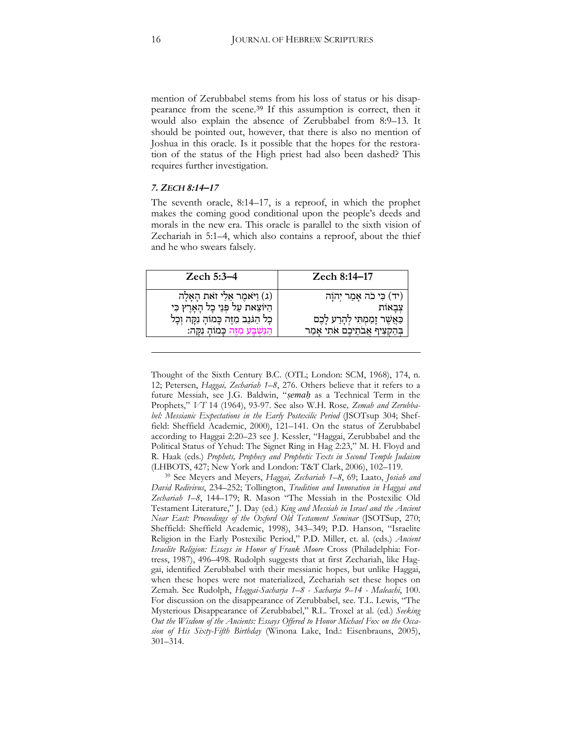mention of Zerubbabel stems from his loss of status or his disappearance from the scene.<sup>39</sup> If this assumption is correct, then it would also explain the absence of Zerubbabel from 8:9-13. It should be pointed out, however, that there is also no mention of Joshua in this oracle. Is it possible that the hopes for the restoration of the status of the High priest had also been dashed? This requires further investigation.

### 7. ZECH 8:14-17

The seventh oracle,  $8:14-17$ , is a reproof, in which the prophet makes the coming good conditional upon the people's deeds and morals in the new era. This oracle is parallel to the sixth vision of Zechariah in 5:1-4, which also contains a reproof, about the thief and he who swears falsely.

| Zech 5:3-4                                                                    | Zech 8:14-17                           |
|-------------------------------------------------------------------------------|----------------------------------------|
| (ג) וַיֹּאמֶר אֵלַי זֹאַת הַאֲלָה)<br>הַיֹּוֹצֵאת עַל פְּנֵי כְל הָאָרֶץ כִּי | (יד) כִּי כֹה אָמַר יְהוַה<br>צִבַאוֹת |
| כָל הַגֹּנֵב מְזֵה כָּמוֹהָ נִקָּה וְכָל                                      | ּבַּאֲשֶׁר זָמַמְתִּי לְהָרַע לָבֶם    |
| הנשבע מזה כמוה נקה:                                                           | בְּהַקְצִיף אֲבֹתֵיכֵם אֹתְי אָמַר     |

Thought of the Sixth Century B.C. (OTL; London: SCM, 1968), 174, n. 12; Petersen, Haggai, Zechariah 1-8, 276. Others believe that it refers to a future Messiah, see J.G. Baldwin, "semah as a Technical Term in the Prophets," VT 14 (1964), 93-97. See also W.H. Rose, Zemah and Zerubbabel: Messianic Expectations in the Early Postexilic Period (JSOTsup 304; Sheffield: Sheffield Academic, 2000), 121–141. On the status of Zerubbabel according to Haggai 2:20-23 see J. Kessler, "Haggai, Zerubbabel and the Political Status of Yehud: The Signet Ring in Hag 2:23," M. H. Floyd and R. Haak (eds.) Prophets, Prophecy and Prophetic Texts in Second Temple Judaism (LHBOTS, 427; New York and London: T&T Clark, 2006), 102-119.

<span id="page-15-0"></span><sup>39</sup> See Meyers and Meyers, Haggai, Zechariah 1–8, 69; Laato, Josiah and David Redivivus, 234-252; Tollington, Tradition and Innovation in Haggai and Zechariah 1-8, 144-179; R. Mason "The Messiah in the Postexilic Old Testament Literature," J. Day (ed.) King and Messiah in Israel and the Ancient Near East: Proceedings of the Oxford Old Testament Seminar (JSOTSup, 270; Sheffield: Sheffield Academic, 1998), 343–349; P.D. Hanson, "Israelite Religion in the Early Postexilic Period," P.D. Miller, et. al. (eds.) Ancient Israelite Religion: Essays in Honor of Frank Moore Cross (Philadelphia: Fortress, 1987), 496-498. Rudolph suggests that at first Zechariah, like Haggai, identified Zerubbabel with their messianic hopes, but unlike Haggai, when these hopes were not materialized, Zechariah set these hopes on Zemah. See Rudolph, Haggai-Sacharja 1-8 - Sacharja 9-14 - Maleachi, 100. For discussion on the disappearance of Zerubbabel, see. T.L. Lewis, "The Mysterious Disappearance of Zerubbabel," R.L. Troxel at al. (ed.) Seeking Out the Wisdom of the Ancients: Essays Offered to Honor Michael Fox on the Occasion of His Sixty-Fifth Birthday (Winona Lake, Ind.: Eisenbrauns, 2005),  $301 - 314.$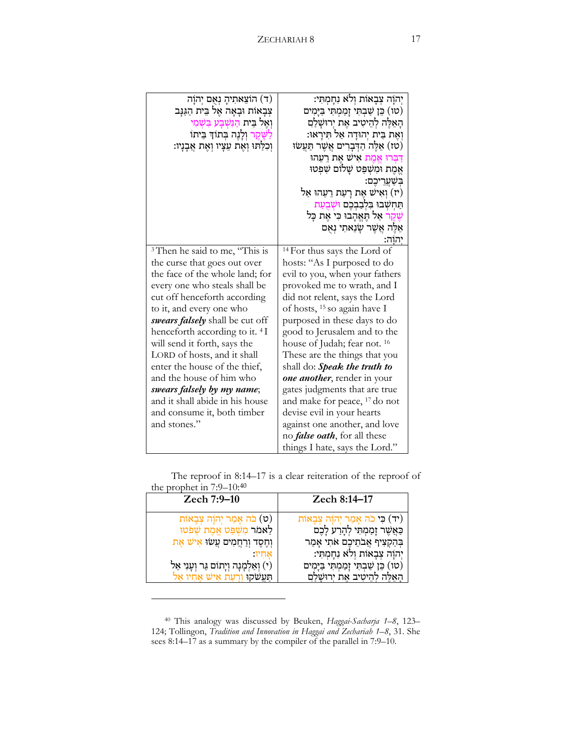| (ד) הוֹצֵאתִיהַ נִאְם יְהוַה<br>צִבָאוֹת וּבָאָה אֵל בֵית הַגַּנָּב<br>וְאֵל בֵּיה הַנִּשְׁבַּע בִּשְׁמִי<br>לַשָּׁקֶר וְלָנֶה בְּתוֹדְ בִיתוֹ<br>וְכִלַּתוּ וְאֶת עֵצָיו וְאֶת אֲבָנָיו:                                                                                                                                                                                                  | יִהוָה צִבָאוֹת וִלֹא נִחָמְתִּי:<br>(טו) כֵּן שַׁבִתְּי זָמַמְתִּי בַּיָּמִים<br>הַאֲלֵה לְהֵיטִיב אֵת יְרוּשָׁלַם<br>וְאֵת בֵּית יְהוּדָה אֵל תִּירָאוּ:<br>(טז) אֵלֶה הַדְּבָרִים אֲשֶׁר תַּעֲשׂוּ<br>דִּבְּרוּ אֲמֵת אִישׁ אֶת רָעֲהוּ<br>אֵמֵת וּמִשְׁפַּט שָׁלוֹם שִׁפְטוּ                                                                                                     |
|--------------------------------------------------------------------------------------------------------------------------------------------------------------------------------------------------------------------------------------------------------------------------------------------------------------------------------------------------------------------------------------------|--------------------------------------------------------------------------------------------------------------------------------------------------------------------------------------------------------------------------------------------------------------------------------------------------------------------------------------------------------------------------------------|
|                                                                                                                                                                                                                                                                                                                                                                                            | בִּשָׁעֲרֵיכֵם:<br>(יז) וְאִישׁ אֵת רָעַת רֵעֵהוּ אַל<br>תּחִשְׁבוּ בִּלְבַבְכֶם וּשְׁבֻעַת<br>שֵׁקֵר אַל הֵאֱהָבוּ כִּי אֵת כָּל<br>אֵלֶּה אֲשֶׁר שָׂנֵאתִי נִאָּם                                                                                                                                                                                                                  |
|                                                                                                                                                                                                                                                                                                                                                                                            | יהוֹה:                                                                                                                                                                                                                                                                                                                                                                               |
| <sup>3</sup> Then he said to me, "This is<br>the curse that goes out over<br>the face of the whole land; for<br>every one who steals shall be<br>cut off henceforth according<br>to it, and every one who<br>swears falsely shall be cut off<br>henceforth according to it. <sup>4</sup> I<br>will send it forth, says the<br>LORD of hosts, and it shall<br>enter the house of the thief, | <sup>14</sup> For thus says the Lord of<br>hosts: "As I purposed to do<br>evil to you, when your fathers<br>provoked me to wrath, and I<br>did not relent, says the Lord<br>of hosts, <sup>15</sup> so again have I<br>purposed in these days to do<br>good to Jerusalem and to the<br>house of Judah; fear not. 16<br>These are the things that you<br>shall do: Speak the truth to |
| and the house of him who                                                                                                                                                                                                                                                                                                                                                                   | one another, render in your                                                                                                                                                                                                                                                                                                                                                          |
| swears falsely by my name;<br>and it shall abide in his house                                                                                                                                                                                                                                                                                                                              | gates judgments that are true<br>and make for peace, <sup>17</sup> do not                                                                                                                                                                                                                                                                                                            |
| and consume it, both timber                                                                                                                                                                                                                                                                                                                                                                | devise evil in your hearts                                                                                                                                                                                                                                                                                                                                                           |
| and stones."                                                                                                                                                                                                                                                                                                                                                                               | against one another, and love<br>no <i>false oath</i> , for all these<br>things I hate, says the Lord."                                                                                                                                                                                                                                                                              |

The reproof in 8:14–17 is a clear reiteration of the reproof of the prophet in 7:9–10:[40](#page-16-0)

| Zech 7:9-10                              | Zech 8:14-17                              |
|------------------------------------------|-------------------------------------------|
| (ט) כֹּה אָמַר יְהוָה צִבָאוֹת           | (יד) כִּי כֹה אֲמֵר יְהוַׁה צְבָאוֹת      |
| לֵאמֹר מִשְׁפַּט אֱמֶת שְׁפֹטוּ          | כַּאֲשֵׁר זָמַמְתִּי לִהָרַע לָבֵם        |
| וְחֵסֶד וְרַחֲמִים עֲשׂוּ אִישׁ אֵת      | בְּהַקְצִיף אֲבֹתֵיכֶם אֹתִי אָמַר        |
| אחיו:                                    | יְהוָה צִבָאוֹת וְלֹא נִחָמְתִּי:         |
| י) וְאַלְמָנָה וְיָתוֹם גֵּר וְעָנִי אַל | (טו) כֵּן שַׁבִתְּי זָמַמְתִּי בַּיָּמִים |
| תַּעֲשׂקוּ וְרַעַת אִישׁ אֲחִיו אַל      | הַאֱלֶה לְהֵיטִיב אֵת יְרוּשַׁלַם         |

<span id="page-16-0"></span><sup>40</sup> This analogy was discussed by Beuken, *Haggai-Sacharja 1–8*, 123– 124; Tollingon, *Tradition and Innovation in Haggai and Zechariah 1–8*, 31. She sees 8:14–17 as a summary by the compiler of the parallel in 7:9–10.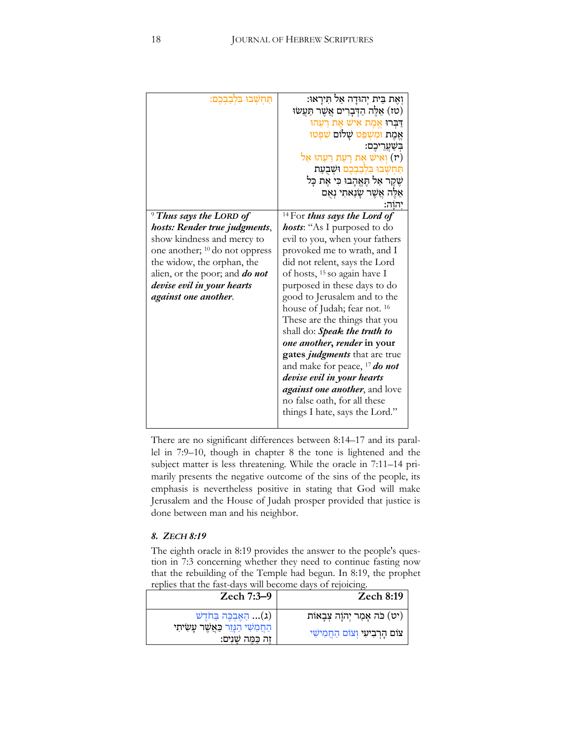| תַּחִשְׁבוּ בִּלְבַבְכֵם:                                                                                                                                                                                                                                    | וְאֶת בֵּית יְהוּדָה אַל תִּירָאוּ:<br>(טז) אֱלֶה הַדְּבָרִים אֲשֶׁר תַּעֲשׂוּ<br>דַּבְרוּ אֱמֶת אִישׁ אֶת רֲעֲהוּ<br>אֵמֵת וּמִשְׁפַּט שָׁלוֹם שִׁפ <del>ִ</del> טוּ<br>בִּשָׁעֲרֵיכֵם:<br>יז) וְאִישׁ אֵת רַעַת רֵעֵהוּ אַל)<br>תַּחִשְׁבוּ בִּלְבַבְכֵם וּשָׁבָעַת<br>שֵׁקֵר אַל תֵּאֱהָבוּ כִּי אֵת כָּל                                                                                                                                                                                                                                                                           |
|--------------------------------------------------------------------------------------------------------------------------------------------------------------------------------------------------------------------------------------------------------------|----------------------------------------------------------------------------------------------------------------------------------------------------------------------------------------------------------------------------------------------------------------------------------------------------------------------------------------------------------------------------------------------------------------------------------------------------------------------------------------------------------------------------------------------------------------------------------------|
|                                                                                                                                                                                                                                                              | אֵלֵּה אֲשֶׁר שָׂנֵאתִי נִאָּם<br>יהוה:                                                                                                                                                                                                                                                                                                                                                                                                                                                                                                                                                |
| $9$ Thus says the LORD of<br>hosts: Render true judgments,<br>show kindness and mercy to<br>one another; $^{10}$ do not oppress<br>the widow, the orphan, the<br>alien, or the poor; and <b>do not</b><br>devise evil in your hearts<br>against one another. | <sup>14</sup> For thus says the Lord of<br><i>hosts</i> : "As I purposed to do<br>evil to you, when your fathers<br>provoked me to wrath, and I<br>did not relent, says the Lord<br>of hosts, <sup>15</sup> so again have I<br>purposed in these days to do<br>good to Jerusalem and to the<br>house of Judah; fear not. 16<br>These are the things that you<br>shall do: Speak the truth to<br>one another, render in your<br>gates <i>judgments</i> that are true<br>and make for peace, <sup>17</sup> do not<br>devise evil in your hearts<br><i>against one another</i> , and love |
|                                                                                                                                                                                                                                                              | no false oath, for all these<br>things I hate, says the Lord."                                                                                                                                                                                                                                                                                                                                                                                                                                                                                                                         |

There are no significant differences between 8:14–17 and its parallel in 7:9–10, though in chapter 8 the tone is lightened and the subject matter is less threatening. While the oracle in 7:11–14 primarily presents the negative outcome of the sins of the people, its emphasis is nevertheless positive in stating that God will make Jerusalem and the House of Judah prosper provided that justice is done between man and his neighbor.

# *8.*! *ZECH 8:19*

The eighth oracle in 8:19 provides the answer to the people's question in 7:3 concerning whether they need to continue fasting now that the rebuilding of the Temple had begun. In 8:19, the prophet replies that the fast-days will become days of rejoicing.

| $Zech$ 8:19                       | Zech 7:3-9                                                                |
|-----------------------------------|---------------------------------------------------------------------------|
| יט) כֹּה אָמַר יְהוָה צִבְאוֹת)   | $\psi$ ו הַאֶּבְכֶּה בַּחֹדֶשׁ                                            |
| צום הָרִבִיעִי וְצוֹם הַחֲמִישִׁי | ּהַחֲמִשִּׁי הַ <b>נְּזֵר כַּאֲשֶׁר עָשִׂיתִי</b><br>זֵה כַּמֵּה שַׁנִים: |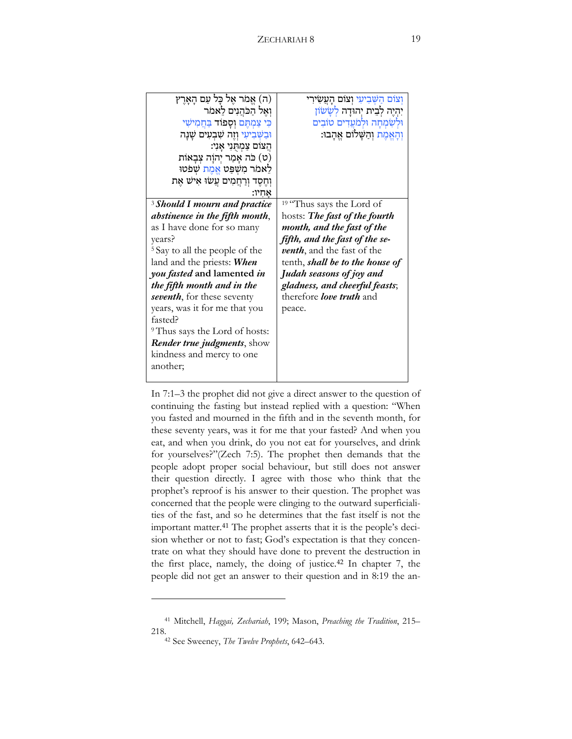| (ה) אֱמֹר אֱל כָּל עַם הָאֲרֶץ            | וִצוֹם הַשָּׁבִיעִ <b>י וְצוֹם הַעֲשִׂירִי</b> |
|-------------------------------------------|------------------------------------------------|
| וְאֶל הַכֹּהֲנִים לֵאמֹר                  | יִהְיֵה לְבֵית יְהוּדָה לְשָׁשׂוֹן             |
| כִּי צַמְתֵּם וְסָפוֹד בַּחֲמִישָׁי       | וּלְשָׂמְחַה וּלְמֹעֲדִים טוֹבִים              |
| וּבַשִּׁבִיעִי וְזֵה שָׁבָעִים שַׁנָה     | וְהָאֱמֶת וְהַשָּׁלוֹם אֵהָבוּ:                |
| ּהֲצוֹם צַמְתְּנִי אָנִי:                 |                                                |
| (ט) כֹּה אָמַר יְהוָה צִבָאוֹת            |                                                |
| לֵאמֹר מִשְׁפַּט <u>אֱמֶת</u> שְׁפֹטוּ    |                                                |
| וְחֶסֶד וְרַחֲמִים עֲשׂוּ אִישׁ אֵת       |                                                |
| אחיו:                                     |                                                |
| <sup>3</sup> Should I mourn and practice  | <sup>19</sup> "Thus says the Lord of           |
| abstinence in the fifth month,            | hosts: The fast of the fourth                  |
| as I have done for so many                | month, and the fast of the                     |
| vears?                                    | fifth, and the fast of the se-                 |
| <sup>5</sup> Say to all the people of the | <i>venth</i> , and the fast of the             |
| land and the priests: When                | tenth, <i>shall be to the house of</i>         |
| you fasted and lamented in                | Judah seasons of joy and                       |
| the fifth month and in the                | gladness, and cheerful feasts;                 |
| seventh, for these seventy                | therefore <i>love truth</i> and                |
| years, was it for me that you             | peace.                                         |
| fasted?                                   |                                                |
| <sup>9</sup> Thus says the Lord of hosts: |                                                |
| <b>Render true judgments</b> , show       |                                                |
| kindness and mercy to one                 |                                                |
| another;                                  |                                                |
|                                           |                                                |

In 7:1–3 the prophet did not give a direct answer to the question of continuing the fasting but instead replied with a question: "When you fasted and mourned in the fifth and in the seventh month, for these seventy years, was it for me that your fasted? And when you eat, and when you drink, do you not eat for yourselves, and drink for yourselves?"(Zech 7:5). The prophet then demands that the people adopt proper social behaviour, but still does not answer their question directly. I agree with those who think that the prophet's reproof is his answer to their question. The prophet was concerned that the people were clinging to the outward superficialities of the fast, and so he determines that the fast itself is not the important matter.[41](#page-18-0) The prophet asserts that it is the people's decision whether or not to fast; God's expectation is that they concentrate on what they should have done to prevent the destruction in the first place, namely, the doing of justice.[42](#page-18-1) In chapter 7, the people did not get an answer to their question and in 8:19 the an-

<span id="page-18-1"></span><span id="page-18-0"></span><sup>&</sup>lt;sup>41</sup> Mitchell, *Haggai, Zechariah*, 199; Mason, *Preaching the Tradition*, 215– 218.42 See Sweeney, *The Twelve Prophets*, 642–643.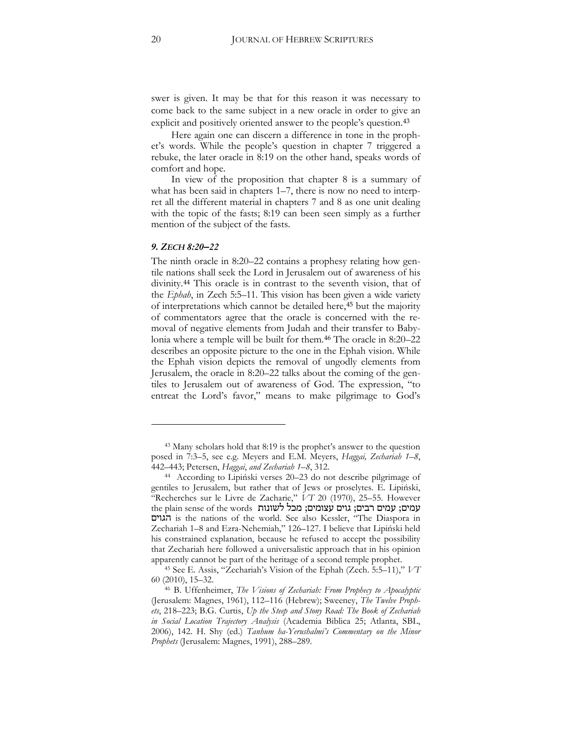swer is given. It may be that for this reason it was necessary to come back to the same subject in a new oracle in order to give an explicit and positively oriented answer to the people's question.[43](#page-19-0)

Here again one can discern a difference in tone in the prophet's words. While the people's question in chapter 7 triggered a rebuke, the later oracle in 8:19 on the other hand, speaks words of comfort and hope.

In view of the proposition that chapter 8 is a summary of what has been said in chapters 1–7, there is now no need to interpret all the different material in chapters 7 and 8 as one unit dealing with the topic of the fasts;  $8:19$  can been seen simply as a further mention of the subject of the fasts.

#### *9. ZECH 8:20–22*

 $\overline{a}$ 

The ninth oracle in 8:20–22 contains a prophesy relating how gentile nations shall seek the Lord in Jerusalem out of awareness of his divinity.[44](#page-19-1) This oracle is in contrast to the seventh vision, that of the *Ephah*, in Zech 5:5–11. This vision has been given a wide variety of interpretations which cannot be detailed here,<sup>[45](#page-19-2)</sup> but the majority of commentators agree that the oracle is concerned with the removal of negative elements from Judah and their transfer to Babylonia where a temple will be built for them.[46](#page-19-3) The oracle in 8:20–22 describes an opposite picture to the one in the Ephah vision. While the Ephah vision depicts the removal of ungodly elements from Jerusalem, the oracle in 8:20–22 talks about the coming of the gentiles to Jerusalem out of awareness of God. The expression, "to entreat the Lord's favor," means to make pilgrimage to God's

<span id="page-19-0"></span><sup>43</sup> Many scholars hold that 8:19 is the prophet's answer to the question posed in 7:3–5, see e.g. Meyers and E.M. Meyers, *Haggai, Zechariah 1–8*, 442–443; Petersen, *Haggai, and Zechariah 1–8*, 312.<br><sup>44</sup> According to Lipiński verses 20–23 do not describe pilgrimage of

<span id="page-19-1"></span>gentiles to Jerusalem, but rather that of Jews or proselytes. E. Lipiński, "Recherches sur le Livre de Zacharie," *VT* 20 (1970), 25–55. However  $t$ the plain sense of the words  $\overline{t}$ עמים; עמים רבים; גוים עצומים; -'#! is the nations of the world. See also Kessler, "The Diaspora in Zechariah 1–8 and Ezra-Nehemiah," 126–127. I believe that Lipiński held his constrained explanation, because he refused to accept the possibility that Zechariah here followed a universalistic approach that in his opinion

<span id="page-19-2"></span>apparently cannot be part of the heritage of a second temple prophet. 45 See E. Assis, "Zechariah's Vision of the Ephah (Zech. 5:5–11)," *VT* 60 (2010), 15–32.

<span id="page-19-3"></span><sup>46</sup> B. Uffenheimer, *The Visions of Zechariah: From Prophecy to Apocalyptic* (Jerusalem: Magnes, 1961), 112–116 (Hebrew); Sweeney, *The Twelve Proph*ets, 218–223; B.G. Curtis, *Up the Steep and Stony Road: The Book of Zechariah* in Social Location Trajectory Analysis (Academia Biblica 25; Atlanta, SBL, 2006), 142. H. Shy (ed.) *Tanhum ha-Yerushalmi's Commentary on the Minor Prophets* (Jerusalem: Magnes, 1991), 288–289.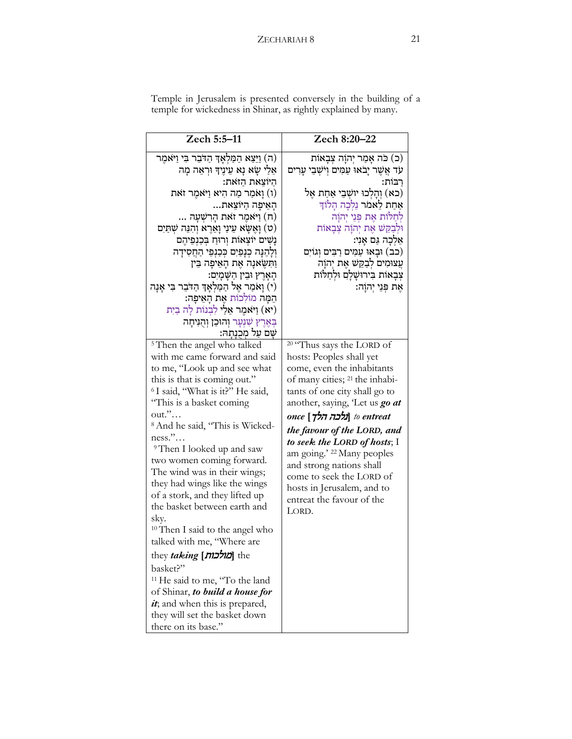| Zech 5:5-11                                                                                                                                                                                                                                                                                                                                                                                                                                                                                                                                                                                                                                                                                                                                                                                                          | Zech 8:20-22                                                                                                                                                                                                                                                                                                                                                                                                                                                                                         |
|----------------------------------------------------------------------------------------------------------------------------------------------------------------------------------------------------------------------------------------------------------------------------------------------------------------------------------------------------------------------------------------------------------------------------------------------------------------------------------------------------------------------------------------------------------------------------------------------------------------------------------------------------------------------------------------------------------------------------------------------------------------------------------------------------------------------|------------------------------------------------------------------------------------------------------------------------------------------------------------------------------------------------------------------------------------------------------------------------------------------------------------------------------------------------------------------------------------------------------------------------------------------------------------------------------------------------------|
| (ה) וַיֵּצֵא הַמַּלְאָדְ הַדֹּבֵר בִּי וַיּאמֵר<br>אֵלַי שַׂא נָא עֵינֵיךְ וּרְאֵה מַה<br>הַיּוֹצֵאת הַזֹּאת:<br>ו) וַאמַר מַה הִיא וַיֹּאמֵר זאת)<br>הַאֵיפָה הַיּוֹצֵאת<br>(ח) וַיֹּאמֶר זֹאַת הַרְשָׁעַה<br>(ט) וָאֵשָׂא עֵינַי וָאֲרֵא וְהִנֵּה שִׁתַּיִם<br>נַשִׁים יוֹצְאוֹת וְרוּחַ בִּכַנְפֵיהֵם<br>וְלָהֵנָּה כִנָפַיִם כִּכַנִפֵּי הַחֲסִידָה<br>וַתְּשֵׂאנָה אֵת הָאֵיפָה בֵּין<br>ּהָאָרֵץ וּבִין הַשָּׁמָיִם:<br>י) וָאֹמַר אֵל הַמַּלְאָךְ הַדֹּבֵר בִּי אָנָה)<br>הֵמָּה מוֹלְכוֹת אֶת הָאֵיפָה:<br>(יא) וַיֹּאמֶר אֵלַי לְבְנוֹת לַה בַיִת<br>בְּאֶרֶץ שִׁנְעָר וְהוּכַן וְהֻנִּיחָה<br>שֵׁם עַל מִכְנַתַהּ:                                                                                                                                                                                         | (כ) כֹּה אָמַר יִהוָה צִבָאוֹת<br>עד אֲשֶׁר יָבֹאוּ עַמִּים וְיֹשְׁבֵי עַרִים<br>רבּוֹת:<br>(כא) וְהָלְכוּ יוּשְׁבֵי אַחַת אֵל<br>אַחַת לֵאמֹר נֵלְכָה הַלוֹדִּ<br>לְחַלּוֹת אֵת פִּנֵי יִהוָֹה<br>וּלְבַקֵּשׁ אֶת יְהוָה צְבָאוֹת<br>אֵלְכָה גַּם אָנִי:<br>(כב) וּבָאוּ עַמְים רַבִּים וְגוֹיִם<br>עֲצוּמִים לְבַקֵשׁ אֵת יִהוַֹּה<br>צִבָאוֹת בִּירוּשָׁלַם וּלְחַלּוֹת<br>אֵת פִּנֵי יִהוָה:                                                                                                     |
| <sup>5</sup> Then the angel who talked<br>with me came forward and said<br>to me, "Look up and see what<br>this is that is coming out."<br><sup>6</sup> I said, "What is it?" He said,<br>"This is a basket coming<br>$out."$<br><sup>8</sup> And he said, "This is Wicked-<br>$ness."$<br><sup>9</sup> Then I looked up and saw<br>two women coming forward.<br>The wind was in their wings;<br>they had wings like the wings<br>of a stork, and they lifted up<br>the basket between earth and<br>sky.<br><sup>10</sup> Then I said to the angel who<br>talked with me, "Where are<br>the <b> מולכות</b> they taking<br>basket?"<br><sup>11</sup> He said to me, "To the land<br>of Shinar, to build a house for<br><i>it</i> ; and when this is prepared,<br>they will set the basket down<br>there on its base." | <sup>20</sup> "Thus says the LORD of<br>hosts: Peoples shall yet<br>come, even the inhabitants<br>of many cities; <sup>21</sup> the inhabi-<br>tants of one city shall go to<br>another, saying, 'Let us go at<br>to entreat <b>[נלכה הלך]</b> to <b>entreat</b><br>the favour of the LORD, and<br>to seek the LORD of hosts; I<br>am going.' <sup>22</sup> Many peoples<br>and strong nations shall<br>come to seek the LORD of<br>hosts in Jerusalem, and to<br>entreat the favour of the<br>LORD. |

Temple in Jerusalem is presented conversely in the building of a temple for wickedness in Shinar, as rightly explained by many.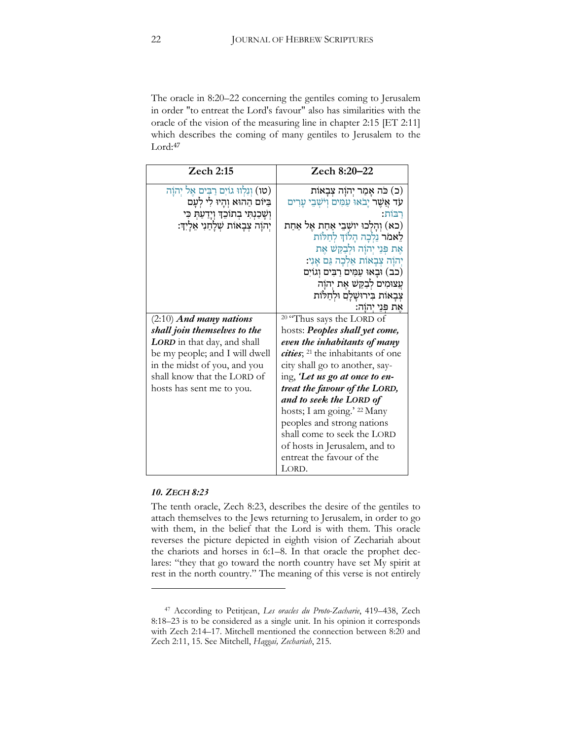The oracle in 8:20–22 concerning the gentiles coming to Jerusalem in order "to entreat the Lord's favour" also has similarities with the oracle of the vision of the measuring line in chapter 2:15 [ET 2:11] which describes the coming of many gentiles to Jerusalem to the Lord:[47](#page-21-0)

| Zech 2:15                                | Zech 8:20-22                                       |
|------------------------------------------|----------------------------------------------------|
| (טו) וְנִלְוּ גוֹיִם רַבִּים אֱל יְהוָה  | (כ) כֹּה אָמַר יְהוַה צְבָאוֹת                     |
| בַּיּוֹם הַהוּא וְהָיוּ לִי לְעָם        | <b>עד אַשֵׁר</b> יָבֹאוּ עַמִּים וְיֹשָׁבֵי עָרִים |
| וְשָׁכַנִתִּי בִתוֹּכֵךְ וְיָדַעַתְ כִּי | רבות:                                              |
| יְהוָה צִבָאוֹת שִׁלָּחֲנִי אֱלָיִךָ:    | (כא) וְהַלְכוּ יושְׁבֵי אַחַת אֱל אַחַת            |
|                                          | לֵאמֹר נֵלְכַה הַלוֹדְ לְחַלּוֹת                   |
|                                          | אֵת פִּנֵי יְהוַֹּה וּלְבַקֵּשׁ אֵת                |
|                                          | יְהוַׁה צִבָאוֹת אֵלְכָה גַּם אֲנִי:               |
|                                          | (כב) וּבָאוּ עַמְים רַבִּים וְגוֹיִם               |
|                                          | עֲצוּמִים לְבַקֵשׁ אֵת יְהוַה                      |
|                                          | צִבָאוֹת בִּירוּשָׁלָם וּלְחַלּוֹת                 |
|                                          | אֵת פִּנֵי יִהוַֹה:                                |
| $(2:10)$ And many nations                | <sup>20</sup> "Thus says the LORD of               |
| shall join themselves to the             | hosts: Peoples shall yet come,                     |
| LORD in that day, and shall              | even the inhabitants of many                       |
| be my people; and I will dwell           | cities; <sup>21</sup> the inhabitants of one       |
| in the midst of you, and you             | city shall go to another, say-                     |
| shall know that the LORD of              | ing, 'Let us go at once to en-                     |
| hosts has sent me to you.                | treat the favour of the LORD,                      |
|                                          | and to seek the LORD of                            |
|                                          | hosts; I am going.' <sup>22</sup> Many             |
|                                          | peoples and strong nations                         |
|                                          | shall come to seek the LORD                        |
|                                          | of hosts in Jerusalem, and to                      |
|                                          | entreat the favour of the                          |
|                                          | LORD.                                              |

## *10. ZECH 8:23*

 $\ddot{\phantom{a}}$ 

The tenth oracle, Zech 8:23, describes the desire of the gentiles to attach themselves to the Jews returning to Jerusalem, in order to go with them, in the belief that the Lord is with them. This oracle reverses the picture depicted in eighth vision of Zechariah about the chariots and horses in 6:1–8. In that oracle the prophet declares: "they that go toward the north country have set My spirit at rest in the north country." The meaning of this verse is not entirely

<span id="page-21-0"></span><sup>47</sup> According to Petitjean, *Les oracles du Proto-Zacharie*, 419–438, Zech 8:18–23 is to be considered as a single unit. In his opinion it corresponds with Zech 2:14–17. Mitchell mentioned the connection between 8:20 and Zech 2:11, 15. See Mitchell, *Haggai, Zechariah*, 215.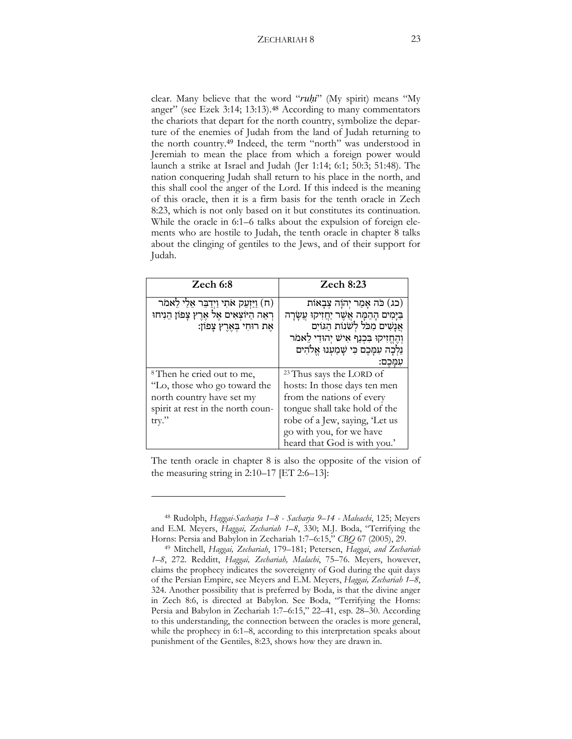clear. Many believe that the word "*ruʾi*" (My spirit) means "My anger" (see Ezek 3:14; 13:13).<sup>[48](#page-22-0)</sup> According to many commentators the chariots that depart for the north country, symbolize the departure of the enemies of Judah from the land of Judah returning to the north country.[49](#page-22-1) Indeed, the term "north" was understood in Jeremiah to mean the place from which a foreign power would launch a strike at Israel and Judah (Jer 1:14; 6:1; 50:3; 51:48). The nation conquering Judah shall return to his place in the north, and this shall cool the anger of the Lord. If this indeed is the meaning of this oracle, then it is a firm basis for the tenth oracle in Zech 8:23, which is not only based on it but constitutes its continuation. While the oracle in 6:1–6 talks about the expulsion of foreign elements who are hostile to Judah, the tenth oracle in chapter 8 talks about the clinging of gentiles to the Jews, and of their support for Judah.

| Zech $6:8$                                                  | Zech 8:23                                      |
|-------------------------------------------------------------|------------------------------------------------|
| (ח) וַיַּזְעֵק אֹתִי וַיִדַבֵּר אֵלַי לֵא <sub>ּ</sub> מֹר) | (כג) כּה אַמַר יְהוַה צִבַאוֹת                 |
| ּרְאֵה הַיוֹצְאִים אֶל אֶרֶץ צָפוֹן הֵנִיחוּ                | בַּיָּמִים הָהֵמָּה אֲשֵׁר יַחֲזִיקוּ עֲשָׂרָה |
| אֵת רוּחִי בִּאֲרֵץ צָפוֹן:                                 | אֲנָשִׁים מִכֹּל לְשֹׁנוֹת הַגּוֹיִם           |
|                                                             | וְהֵחֵזִיקוּ בִּכְנַף אִישׁ יְהוּדִי לֵאמֹר    |
|                                                             | נֵלְכָה עִמְּכֶם כִּי שָׁמַעְנוּ אֱלֹהִים      |
|                                                             |                                                |
| <sup>8</sup> Then he cried out to me,                       | <sup>23</sup> Thus says the LORD of            |
| "Lo, those who go toward the                                | hosts: In those days ten men                   |
| north country have set my                                   | from the nations of every                      |
| spirit at rest in the north coun-                           | tongue shall take hold of the                  |
| try."                                                       | robe of a Jew, saying, Let us                  |
|                                                             | go with you, for we have                       |
|                                                             | heard that God is with you.'                   |

The tenth oracle in chapter 8 is also the opposite of the vision of the measuring string in 2:10–17 [ET 2:6–13]:

 $\ddot{\phantom{a}}$ 

<span id="page-22-0"></span><sup>&</sup>lt;sup>48</sup> Rudolph, *Haggai-Sacharja 1–8 - Sacharja 9–14 - Maleachi*, 125; Meyers and E.M. Meyers, *Haggai, Zechariah 1*–8, 330; M.J. Boda, "Terrifying the Horns: Persia and Babylon in Zechariah 1:7–6:15," *CBQ* 67 (2005), 29.

<span id="page-22-1"></span><sup>&</sup>lt;sup>49</sup> Mitchell, *Haggai, Zechariah*, 179–181; Petersen, *Haggai, and Zechariah 1–8*, 272. Redditt, *Haggai, Zechariah, Malachi*, 75–76. Meyers, however, claims the prophecy indicates the sovereignty of God during the quit days of the Persian Empire, see Meyers and E.M. Meyers, *Haggai, Zechariah 1–8*, 324. Another possibility that is preferred by Boda, is that the divine anger in Zech 8:6, is directed at Babylon. See Boda, "Terrifying the Horns: Persia and Babylon in Zechariah 1:7–6:15," 22–41, esp. 28–30. According to this understanding, the connection between the oracles is more general, while the prophecy in 6:1–8, according to this interpretation speaks about punishment of the Gentiles, 8:23, shows how they are drawn in.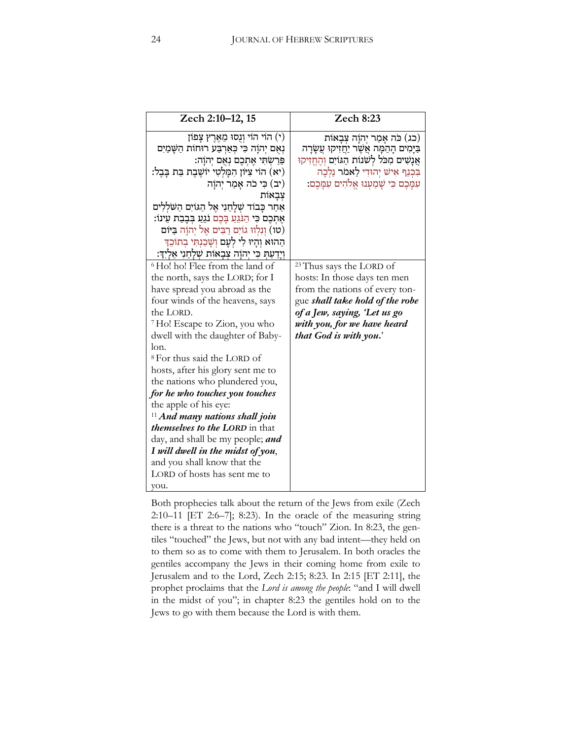| Zech 2:10-12, 15                                      | Zech 8:23                                        |
|-------------------------------------------------------|--------------------------------------------------|
| י) הוֹי הוֹי וְנָסוּ מֵאֲרֵץ צָפוֹן)                  | (כג) כּה אָמַר יְהוַה צִבָאוֹת                   |
| נְאָם יְהוָה כִּי כִּאַרְבַּע רוּחוֹת הַשַּׁמַיִם     | ּבַיָּמִים הָהֵמְּה אֲשֶׁר יַחֲזִיקוּ עֲשָׂרָה   |
| פֵּרְשָׂתִּי אֱתְכֶם נִאָם יְהוַה:                    | אֲנָשִׁים מִכֹּל לְשׁנוֹת הַגּוֹיִם וְהֵחֵזִיקוּ |
| (יא) הוֹי צִיּוֹן הִמָּלְטִי יוֹשֵׁבֵת בַּת בָּבֵל:   | בִּכְנַף אִישׁ יְהוּדִי לֵאמֹר נֵלְכָה           |
| (יב) כִּי כֹה אָמַר יִהוַֹּה                          | עִמָּכֶם כִּי שָׁמַעְנוּ אֱלֹהִים עִמַּבֵם:      |
| צִבָאוֹת                                              |                                                  |
| אַחַר כָּבוֹד שִׁלָחַנִי אֵל הַגּוֹיִם הַשַּׁלְלִים   |                                                  |
| אֵתְכֶם כִּי הַנֹּגֵעַ בַּכֵם נֹגֵעַ בִּבָבַת עֵינוֹ: |                                                  |
| (טו) וַנְלְוּוּ גוֹיִם רַבִּים אֵל יְהוָה בַּיּוֹם    |                                                  |
| הַהוּא וְהָיוּ לִי לְעָם וְשַׁכֲנְתִּי בְתוֹכֵךְ      |                                                  |
| וְיָדַעַתְּ כִּי יְהוָה צְבָאוֹת שָׁלָחַנִי אֵלַיִךְ: |                                                  |
| <sup>6</sup> Ho! ho! Flee from the land of            | <sup>23</sup> Thus says the LORD of              |
| the north, says the LORD; for I                       | hosts: In those days ten men                     |
| have spread you abroad as the                         | from the nations of every ton-                   |
| four winds of the heavens, says                       | gue shall take hold of the robe                  |
| the LORD.                                             | of a Jew, saying, 'Let us go                     |
| <sup>7</sup> Ho! Escape to Zion, you who              | with you, for we have heard                      |
| dwell with the daughter of Baby-                      | that God is with you.'                           |
| lon.                                                  |                                                  |
| <sup>8</sup> For thus said the LORD of                |                                                  |
| hosts, after his glory sent me to                     |                                                  |
| the nations who plundered you,                        |                                                  |
| for he who touches you touches                        |                                                  |
| the apple of his eye:                                 |                                                  |
| $11$ And many nations shall join                      |                                                  |
| <i>themselves to the LORD</i> in that                 |                                                  |
| day, and shall be my people; and                      |                                                  |
| I will dwell in the midst of you,                     |                                                  |
| and you shall know that the                           |                                                  |
| LORD of hosts has sent me to                          |                                                  |
| you.                                                  |                                                  |

Both prophecies talk about the return of the Jews from exile (Zech 2:10–11 [ET 2:6–7]; 8:23). In the oracle of the measuring string there is a threat to the nations who "touch" Zion. In 8:23, the gentiles "touched" the Jews, but not with any bad intent—they held on to them so as to come with them to Jerusalem. In both oracles the gentiles accompany the Jews in their coming home from exile to Jerusalem and to the Lord, Zech 2:15; 8:23. In 2:15 [ET 2:11], the prophet proclaims that the *Lord is among the people*: "and I will dwell in the midst of you"; in chapter 8:23 the gentiles hold on to the Jews to go with them because the Lord is with them.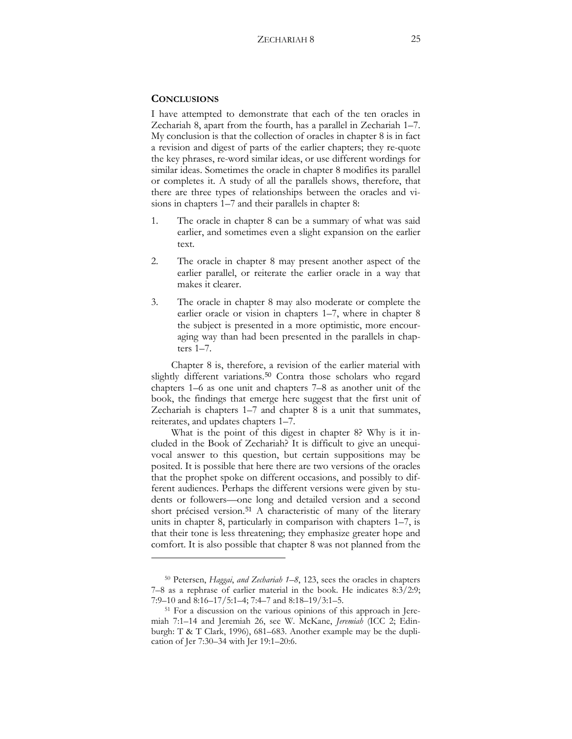### **CONCLUSIONS**

 $\ddot{\phantom{a}}$ 

I have attempted to demonstrate that each of the ten oracles in Zechariah 8, apart from the fourth, has a parallel in Zechariah 1–7. My conclusion is that the collection of oracles in chapter 8 is in fact a revision and digest of parts of the earlier chapters; they re-quote the key phrases, re-word similar ideas, or use different wordings for similar ideas. Sometimes the oracle in chapter 8 modifies its parallel or completes it. A study of all the parallels shows, therefore, that there are three types of relationships between the oracles and visions in chapters 1–7 and their parallels in chapter 8:

- 1. The oracle in chapter 8 can be a summary of what was said earlier, and sometimes even a slight expansion on the earlier text.
- 2. The oracle in chapter 8 may present another aspect of the earlier parallel, or reiterate the earlier oracle in a way that makes it clearer.
- 3. The oracle in chapter 8 may also moderate or complete the earlier oracle or vision in chapters 1–7, where in chapter 8 the subject is presented in a more optimistic, more encouraging way than had been presented in the parallels in chapters 1–7.

Chapter 8 is, therefore, a revision of the earlier material with slightly different variations.<sup>[50](#page-24-0)</sup> Contra those scholars who regard chapters 1–6 as one unit and chapters 7–8 as another unit of the book, the findings that emerge here suggest that the first unit of Zechariah is chapters 1–7 and chapter 8 is a unit that summates, reiterates, and updates chapters 1–7.

What is the point of this digest in chapter 8? Why is it included in the Book of Zechariah? It is difficult to give an unequivocal answer to this question, but certain suppositions may be posited. It is possible that here there are two versions of the oracles that the prophet spoke on different occasions, and possibly to different audiences. Perhaps the different versions were given by students or followers—one long and detailed version and a second short précised version.[51](#page-24-1) A characteristic of many of the literary units in chapter 8, particularly in comparison with chapters 1–7, is that their tone is less threatening; they emphasize greater hope and comfort. It is also possible that chapter 8 was not planned from the

<span id="page-24-0"></span><sup>50</sup> Petersen, *Haggai*, *and Zechariah 1–8*, 123, sees the oracles in chapters  $7-8$  as a rephrase of earlier material in the book. He indicates  $8:3/2:9$ ; 7:9–10 and 8:16–17/5:1–4; 7:4–7 and 8:18–19/3:1–5.

<span id="page-24-1"></span><sup>51</sup> For a discussion on the various opinions of this approach in Jeremiah 7:1-14 and Jeremiah 26, see W. McKane, *Jeremiah* (ICC 2; Edinburgh: T & T Clark, 1996), 681–683. Another example may be the duplication of Jer 7:30–34 with Jer 19:1–20:6.